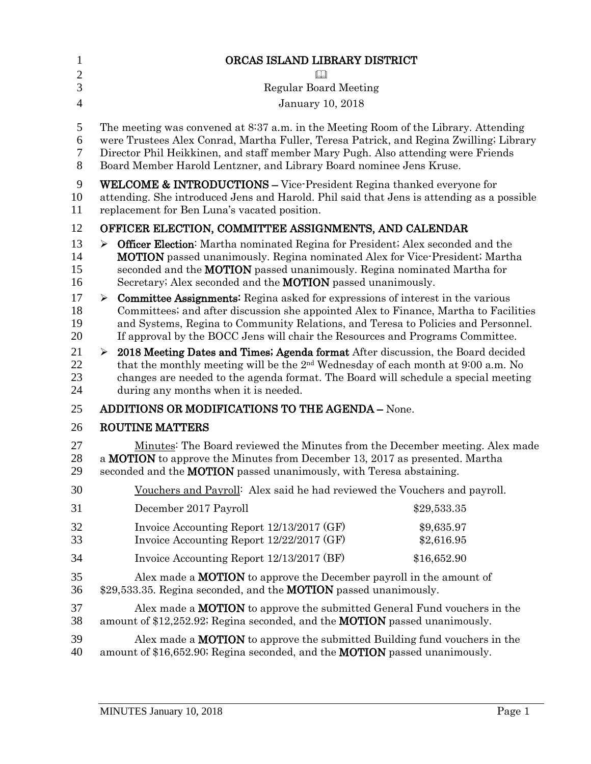| $\mathbf{1}$         | ORCAS ISLAND LIBRARY DISTRICT                                                                                                                                                                                                                                                                                                                            |                          |  |
|----------------------|----------------------------------------------------------------------------------------------------------------------------------------------------------------------------------------------------------------------------------------------------------------------------------------------------------------------------------------------------------|--------------------------|--|
| $\overline{c}$       | $\Box$                                                                                                                                                                                                                                                                                                                                                   |                          |  |
| $\overline{3}$       | <b>Regular Board Meeting</b>                                                                                                                                                                                                                                                                                                                             |                          |  |
| $\overline{4}$       | January 10, 2018                                                                                                                                                                                                                                                                                                                                         |                          |  |
| 5<br>6<br>7<br>8     | The meeting was convened at 8:37 a.m. in the Meeting Room of the Library. Attending<br>were Trustees Alex Conrad, Martha Fuller, Teresa Patrick, and Regina Zwilling; Library<br>Director Phil Heikkinen, and staff member Mary Pugh. Also attending were Friends<br>Board Member Harold Lentzner, and Library Board nominee Jens Kruse.                 |                          |  |
| 9<br>10<br>11        | <b>WELCOME &amp; INTRODUCTIONS</b> - Vice-President Regina thanked everyone for<br>attending. She introduced Jens and Harold. Phil said that Jens is attending as a possible<br>replacement for Ben Luna's vacated position.                                                                                                                             |                          |  |
| 12                   | OFFICER ELECTION, COMMITTEE ASSIGNMENTS, AND CALENDAR                                                                                                                                                                                                                                                                                                    |                          |  |
| 13<br>14<br>15<br>16 | <b>Officer Election:</b> Martha nominated Regina for President; Alex seconded and the<br>➤<br><b>MOTION</b> passed unanimously. Regina nominated Alex for Vice-President; Martha<br>seconded and the <b>MOTION</b> passed unanimously. Regina nominated Martha for<br>Secretary; Alex seconded and the <b>MOTION</b> passed unanimously.                 |                          |  |
| 17<br>18<br>19<br>20 | <b>Committee Assignments:</b> Regina asked for expressions of interest in the various<br>➤<br>Committees; and after discussion she appointed Alex to Finance, Martha to Facilities<br>and Systems, Regina to Community Relations, and Teresa to Policies and Personnel.<br>If approval by the BOCC Jens will chair the Resources and Programs Committee. |                          |  |
| 21<br>22<br>23<br>24 | 2018 Meeting Dates and Times; Agenda format After discussion, the Board decided<br>➤<br>that the monthly meeting will be the 2 <sup>nd</sup> Wednesday of each month at 9:00 a.m. No<br>changes are needed to the agenda format. The Board will schedule a special meeting<br>during any months when it is needed.                                       |                          |  |
| 25                   | ADDITIONS OR MODIFICATIONS TO THE AGENDA - None.                                                                                                                                                                                                                                                                                                         |                          |  |
| 26                   | <b>ROUTINE MATTERS</b>                                                                                                                                                                                                                                                                                                                                   |                          |  |
| 27<br>28<br>29       | Minutes: The Board reviewed the Minutes from the December meeting. Alex made<br>a <b>MOTION</b> to approve the Minutes from December 13, 2017 as presented. Martha<br>seconded and the <b>MOTION</b> passed unanimously, with Teresa abstaining.                                                                                                         |                          |  |
| 30                   | Vouchers and Payroll: Alex said he had reviewed the Vouchers and payroll.                                                                                                                                                                                                                                                                                |                          |  |
| 31                   | December 2017 Payroll                                                                                                                                                                                                                                                                                                                                    | \$29,533.35              |  |
| 32<br>33             | Invoice Accounting Report 12/13/2017 (GF)<br>Invoice Accounting Report 12/22/2017 (GF)                                                                                                                                                                                                                                                                   | \$9,635.97<br>\$2,616.95 |  |
| 34                   | Invoice Accounting Report 12/13/2017 (BF)                                                                                                                                                                                                                                                                                                                | \$16,652.90              |  |
| 35<br>36             | Alex made a <b>MOTION</b> to approve the December payroll in the amount of<br>\$29,533.35. Regina seconded, and the MOTION passed unanimously.                                                                                                                                                                                                           |                          |  |
| 37<br>38             | Alex made a <b>MOTION</b> to approve the submitted General Fund vouchers in the<br>amount of \$12,252.92; Regina seconded, and the <b>MOTION</b> passed unanimously.                                                                                                                                                                                     |                          |  |
| 39<br>40             | Alex made a <b>MOTION</b> to approve the submitted Building fund vouchers in the<br>amount of \$16,652.90; Regina seconded, and the <b>MOTION</b> passed unanimously.                                                                                                                                                                                    |                          |  |
|                      |                                                                                                                                                                                                                                                                                                                                                          |                          |  |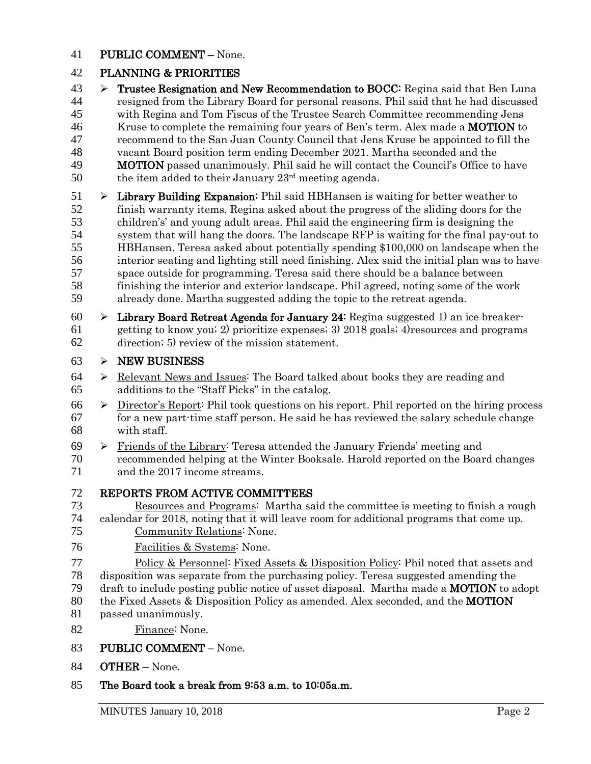#### 41 PUBLIC COMMENT - None.

#### PLANNING & PRIORITIES

 $43 \rightarrow$  Trustee Resignation and New Recommendation to BOCC: Regina said that Ben Luna resigned from the Library Board for personal reasons. Phil said that he had discussed with Regina and Tom Fiscus of the Trustee Search Committee recommending Jens 46 Kruse to complete the remaining four years of Ben's term. Alex made a **MOTION** to<br>47 recommend to the San Juan County Council that Jens Kruse be appointed to fill the recommend to the San Juan County Council that Jens Kruse be appointed to fill the 48 vacant Board position term ending December 2021. Martha seconded and the<br>49 **MOTION** passed unanimously. Phil said he will contact the Council's Office to **MOTION** passed unanimously. Phil said he will contact the Council's Office to have 50 the item added to their January  $23<sup>rd</sup>$  meeting agenda.

 $\triangleright$  Library Building Expansion: Phil said HBHansen is waiting for better weather to finish warranty items. Regina asked about the progress of the sliding doors for the children's' and young adult areas. Phil said the engineering firm is designing the system that will hang the doors. The landscape RFP is waiting for the final pay-out to HBHansen. Teresa asked about potentially spending \$100,000 on landscape when the interior seating and lighting still need finishing. Alex said the initial plan was to have space outside for programming. Teresa said there should be a balance between finishing the interior and exterior landscape. Phil agreed, noting some of the work already done. Martha suggested adding the topic to the retreat agenda.

60  $\triangleright$  Library Board Retreat Agenda for January 24: Regina suggested 1) an ice breaker- getting to know you; 2) prioritize expenses; 3) 2018 goals; 4)resources and programs direction; 5) review of the mission statement.

#### $63 \rightarrow \text{NEW BUSINESS}$

- $64 \rightarrow$  Relevant News and Issues: The Board talked about books they are reading and additions to the "Staff Picks" in the catalog.
- 66  $\triangleright$  <u>Director's Report</u>: Phil took questions on his report. Phil reported on the hiring process for a new part-time staff person. He said he has reviewed the salary schedule change with staff.
- $69 \rightarrow$  Friends of the Library: Teresa attended the January Friends' meeting and
- recommended helping at the Winter Booksale. Harold reported on the Board changes and the 2017 income streams.
- REPORTS FROM ACTIVE COMMITTEES
- Resources and Programs: Martha said the committee is meeting to finish a rough calendar for 2018, noting that it will leave room for additional programs that come up.
- Community Relations: None.
- Facilities & Systems: None.

 Policy & Personnel: Fixed Assets & Disposition Policy: Phil noted that assets and disposition was separate from the purchasing policy. Teresa suggested amending the draft to include posting public notice of asset disposal. Martha made a MOTION to adopt the Fixed Assets & Disposition Policy as amended. Alex seconded, and the MOTION

- passed unanimously.
- 82 Finance: None.
- 83 PUBLIC COMMENT None.
- OTHER None.
- The Board took a break from 9:53 a.m. to 10:05a.m.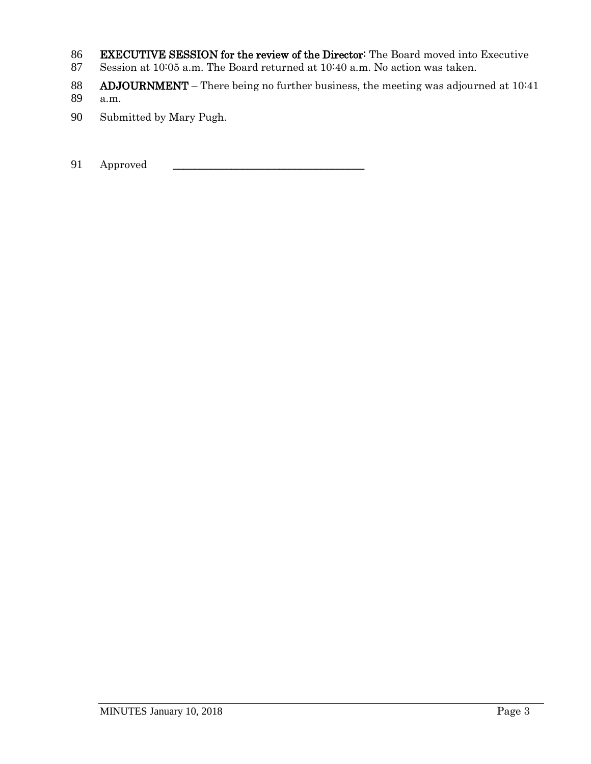- 86 EXECUTIVE SESSION for the review of the Director: The Board moved into Executive Sassion at 10:05 a.m. The Board returned at 10:40 a.m. No action was taken.
- Session at 10:05 a.m. The Board returned at 10:40 a.m. No action was taken.
- 88 **ADJOURNMENT** There being no further business, the meeting was adjourned at  $10:41$ <br>89 a.m.
- a.m.
- 90 Submitted by Mary Pugh.
- 91 Approved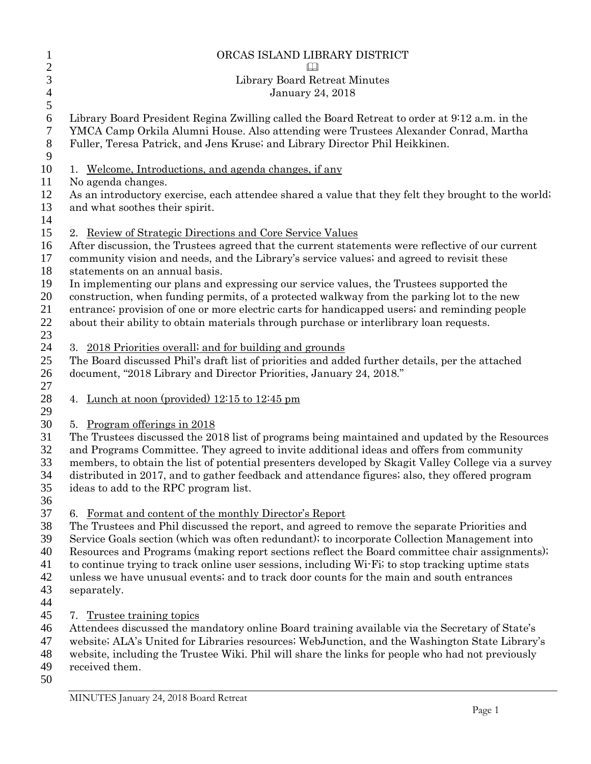| $\mathbf{1}$<br>$\overline{c}$ | ORCAS ISLAND LIBRARY DISTRICT<br>Ш                                                                                        |
|--------------------------------|---------------------------------------------------------------------------------------------------------------------------|
| $\mathfrak{Z}$                 | Library Board Retreat Minutes                                                                                             |
| $\overline{4}$                 | January 24, 2018                                                                                                          |
| 5                              |                                                                                                                           |
| 6                              | Library Board President Regina Zwilling called the Board Retreat to order at 9:12 a.m. in the                             |
| $\tau$                         | YMCA Camp Orkila Alumni House. Also attending were Trustees Alexander Conrad, Martha                                      |
| $8\,$                          | Fuller, Teresa Patrick, and Jens Kruse; and Library Director Phil Heikkinen.                                              |
| 9                              |                                                                                                                           |
| 10                             | 1. Welcome, Introductions, and agenda changes, if any                                                                     |
| 11<br>12                       | No agenda changes.<br>As an introductory exercise, each attendee shared a value that they felt they brought to the world; |
| 13                             | and what soothes their spirit.                                                                                            |
| 14                             |                                                                                                                           |
| 15                             | 2. Review of Strategic Directions and Core Service Values                                                                 |
| 16                             | After discussion, the Trustees agreed that the current statements were reflective of our current                          |
| 17                             | community vision and needs, and the Library's service values; and agreed to revisit these                                 |
| 18                             | statements on an annual basis.                                                                                            |
| 19                             | In implementing our plans and expressing our service values, the Trustees supported the                                   |
| 20                             | construction, when funding permits, of a protected walkway from the parking lot to the new                                |
| 21                             | entrance; provision of one or more electric carts for handicapped users; and reminding people                             |
| 22                             | about their ability to obtain materials through purchase or interlibrary loan requests.                                   |
| 23                             |                                                                                                                           |
| 24                             | 3. 2018 Priorities overall; and for building and grounds                                                                  |
| 25                             | The Board discussed Phil's draft list of priorities and added further details, per the attached                           |
| 26                             | document, "2018 Library and Director Priorities, January 24, 2018."                                                       |
| 27<br>28                       | 4. Lunch at noon (provided) 12:15 to 12:45 pm                                                                             |
| 29                             |                                                                                                                           |
| 30                             | 5. Program offerings in 2018                                                                                              |
| 31                             | The Trustees discussed the 2018 list of programs being maintained and updated by the Resources                            |
| 32                             | and Programs Committee. They agreed to invite additional ideas and offers from community                                  |
| 33                             | members, to obtain the list of potential presenters developed by Skagit Valley College via a survey                       |
| 34                             | distributed in 2017, and to gather feedback and attendance figures; also, they offered program                            |
| 35                             | ideas to add to the RPC program list.                                                                                     |
| 36                             |                                                                                                                           |
| 37                             | 6. Format and content of the monthly Director's Report                                                                    |
| 38                             | The Trustees and Phil discussed the report, and agreed to remove the separate Priorities and                              |
| 39                             | Service Goals section (which was often redundant); to incorporate Collection Management into                              |
| 40                             | Resources and Programs (making report sections reflect the Board committee chair assignments);                            |
| 41                             | to continue trying to track online user sessions, including Wi-Fi; to stop tracking uptime stats                          |
| 42                             | unless we have unusual events; and to track door counts for the main and south entrances<br>separately.                   |
| 43<br>44                       |                                                                                                                           |
| 45                             | Trustee training topics<br>7.                                                                                             |
| 46                             | Attendees discussed the mandatory online Board training available via the Secretary of State's                            |
| 47                             | website; ALA's United for Libraries resources; WebJunction, and the Washington State Library's                            |
| 48                             | website, including the Trustee Wiki. Phil will share the links for people who had not previously                          |
| 49                             | received them.                                                                                                            |
| 50                             |                                                                                                                           |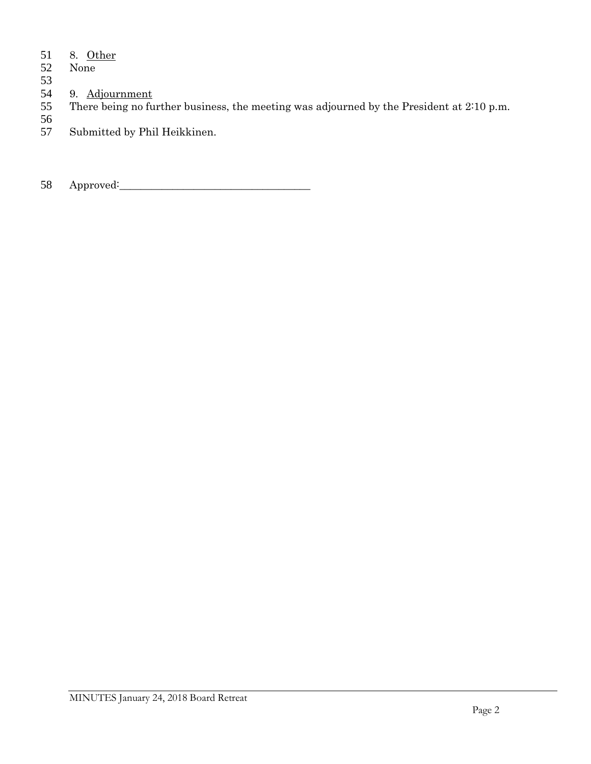- 8. Other 51
- 52 None
- 
- 53 54 9. <u>Adjournment</u>
- 55 There being no further business, the meeting was adjourned by the President at 2:10 p.m.
- 56
- Submitted by Phil Heikkinen.

58 Approved:\_\_\_\_\_\_\_\_\_\_\_\_\_\_\_\_\_\_\_\_\_\_\_\_\_\_\_\_\_\_\_\_\_\_\_\_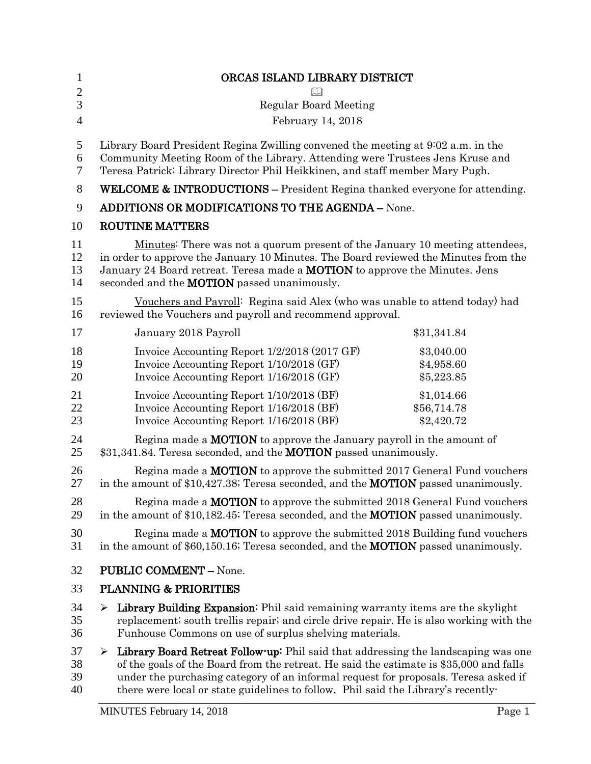| $\mathbf{1}$         | ORCAS ISLAND LIBRARY DISTRICT                                                                                                                                                                                                                                                                                                                                 |                                         |  |
|----------------------|---------------------------------------------------------------------------------------------------------------------------------------------------------------------------------------------------------------------------------------------------------------------------------------------------------------------------------------------------------------|-----------------------------------------|--|
| $\mathbf{2}$<br>3    | <b>Regular Board Meeting</b>                                                                                                                                                                                                                                                                                                                                  |                                         |  |
| $\overline{4}$       | February 14, 2018                                                                                                                                                                                                                                                                                                                                             |                                         |  |
|                      |                                                                                                                                                                                                                                                                                                                                                               |                                         |  |
| 5<br>6<br>7          | Library Board President Regina Zwilling convened the meeting at 9:02 a.m. in the<br>Community Meeting Room of the Library. Attending were Trustees Jens Kruse and<br>Teresa Patrick; Library Director Phil Heikkinen, and staff member Mary Pugh.                                                                                                             |                                         |  |
| 8                    | WELCOME & INTRODUCTIONS - President Regina thanked everyone for attending.                                                                                                                                                                                                                                                                                    |                                         |  |
| 9                    | <b>ADDITIONS OR MODIFICATIONS TO THE AGENDA - None.</b>                                                                                                                                                                                                                                                                                                       |                                         |  |
| 10                   | <b>ROUTINE MATTERS</b>                                                                                                                                                                                                                                                                                                                                        |                                         |  |
| 11<br>12<br>13<br>14 | Minutes: There was not a quorum present of the January 10 meeting attendees,<br>in order to approve the January 10 Minutes. The Board reviewed the Minutes from the<br>January 24 Board retreat. Teresa made a <b>MOTION</b> to approve the Minutes. Jens<br>seconded and the <b>MOTION</b> passed unanimously.                                               |                                         |  |
| 15<br>16             | Vouchers and Payroll: Regina said Alex (who was unable to attend today) had<br>reviewed the Vouchers and payroll and recommend approval.                                                                                                                                                                                                                      |                                         |  |
| 17                   | January 2018 Payroll                                                                                                                                                                                                                                                                                                                                          | \$31,341.84                             |  |
| 18<br>19<br>20       | Invoice Accounting Report 1/2/2018 (2017 GF)<br>Invoice Accounting Report 1/10/2018 (GF)<br>Invoice Accounting Report 1/16/2018 (GF)                                                                                                                                                                                                                          | \$3,040.00<br>\$4,958.60<br>\$5,223.85  |  |
| 21<br>22<br>23       | Invoice Accounting Report 1/10/2018 (BF)<br>Invoice Accounting Report 1/16/2018 (BF)<br>Invoice Accounting Report 1/16/2018 (BF)                                                                                                                                                                                                                              | \$1,014.66<br>\$56,714.78<br>\$2,420.72 |  |
| 24<br>25             | Regina made a <b>MOTION</b> to approve the January payroll in the amount of<br>\$31,341.84. Teresa seconded, and the <b>MOTION</b> passed unanimously.                                                                                                                                                                                                        |                                         |  |
| 26<br>27             | Regina made a <b>MOTION</b> to approve the submitted 2017 General Fund vouchers<br>in the amount of \$10,427.38; Teresa seconded, and the <b>MOTION</b> passed unanimously.                                                                                                                                                                                   |                                         |  |
| 28<br>29             | Regina made a MOTION to approve the submitted 2018 General Fund vouchers<br>in the amount of \$10,182.45; Teresa seconded, and the <b>MOTION</b> passed unanimously.                                                                                                                                                                                          |                                         |  |
| 30<br>31             | Regina made a <b>MOTION</b> to approve the submitted 2018 Building fund vouchers<br>in the amount of \$60,150.16; Teresa seconded, and the <b>MOTION</b> passed unanimously.                                                                                                                                                                                  |                                         |  |
| 32                   | <b>PUBLIC COMMENT - None.</b>                                                                                                                                                                                                                                                                                                                                 |                                         |  |
| 33                   | PLANNING & PRIORITIES                                                                                                                                                                                                                                                                                                                                         |                                         |  |
| 34<br>35<br>36       | Library Building Expansion: Phil said remaining warranty items are the skylight<br>➤<br>replacement; south trellis repair; and circle drive repair. He is also working with the<br>Funhouse Commons on use of surplus shelving materials.                                                                                                                     |                                         |  |
| 37<br>38<br>39<br>40 | Library Board Retreat Follow-up: Phil said that addressing the landscaping was one<br>➤<br>of the goals of the Board from the retreat. He said the estimate is \$35,000 and falls<br>under the purchasing category of an informal request for proposals. Teresa asked if<br>there were local or state guidelines to follow. Phil said the Library's recently- |                                         |  |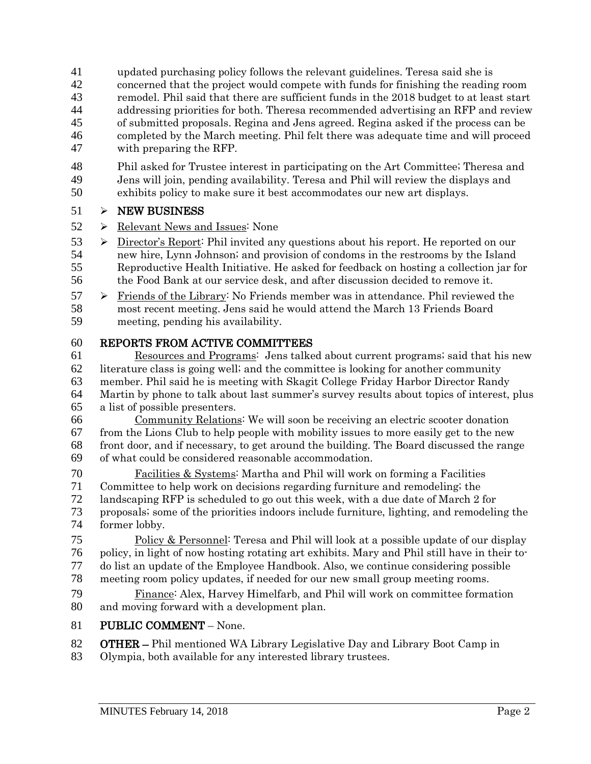updated purchasing policy follows the relevant guidelines. Teresa said she is

- concerned that the project would compete with funds for finishing the reading room
- remodel. Phil said that there are sufficient funds in the 2018 budget to at least start
- addressing priorities for both. Theresa recommended advertising an RFP and review
- of submitted proposals. Regina and Jens agreed. Regina asked if the process can be completed by the March meeting. Phil felt there was adequate time and will proceed with preparing the RFP.
- Phil asked for Trustee interest in participating on the Art Committee; Theresa and
- Jens will join, pending availability. Teresa and Phil will review the displays and exhibits policy to make sure it best accommodates our new art displays.

# $51 \rightarrow \text{NEW BUSINESS}$

- 52 > <u>Relevant News and Issues</u>: None
- $53 \rightarrow$  Director's Report: Phil invited any questions about his report. He reported on our new hire, Lynn Johnson; and provision of condoms in the restrooms by the Island Reproductive Health Initiative. He asked for feedback on hosting a collection jar for the Food Bank at our service desk, and after discussion decided to remove it.
- $57 \rightarrow$  Friends of the Library: No Friends member was in attendance. Phil reviewed the most recent meeting. Jens said he would attend the March 13 Friends Board meeting, pending his availability.

# REPORTS FROM ACTIVE COMMITTEES

 Resources and Programs: Jens talked about current programs; said that his new literature class is going well; and the committee is looking for another community member. Phil said he is meeting with Skagit College Friday Harbor Director Randy Martin by phone to talk about last summer's survey results about topics of interest, plus

- a list of possible presenters.
- Community Relations: We will soon be receiving an electric scooter donation from the Lions Club to help people with mobility issues to more easily get to the new front door, and if necessary, to get around the building. The Board discussed the range of what could be considered reasonable accommodation.
- Facilities & Systems: Martha and Phil will work on forming a Facilities 71 Committee to help work on decisions regarding furniture and remodeling; the<br>72 landscaping RFP is scheduled to go out this week, with a due date of March 2 landscaping RFP is scheduled to go out this week, with a due date of March 2 for proposals; some of the priorities indoors include furniture, lighting, and remodeling the former lobby.
- Policy & Personnel: Teresa and Phil will look at a possible update of our display policy, in light of now hosting rotating art exhibits. Mary and Phil still have in their to- do list an update of the Employee Handbook. Also, we continue considering possible meeting room policy updates, if needed for our new small group meeting rooms.
- 79 Finance: Alex, Harvey Himelfarb, and Phil will work on committee formation and moving forward with a development plan.
- 81 PUBLIC COMMENT None.
- OTHER Phil mentioned WA Library Legislative Day and Library Boot Camp in
- Olympia, both available for any interested library trustees.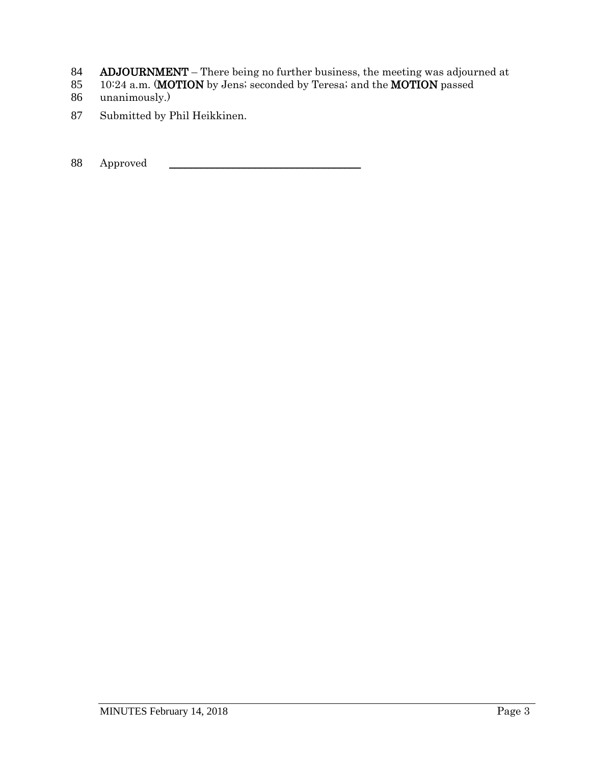- 84 **ADJOURNMENT** There being no further business, the meeting was adjourned at  $85$  10:24 a.m. (**MOTION** by Jensi seconded by Teresai and the **MOTION** passed
- 10:24 a.m. (MOTION by Jens; seconded by Teresa; and the MOTION passed
- 86 unanimously.)
- 87 Submitted by Phil Heikkinen.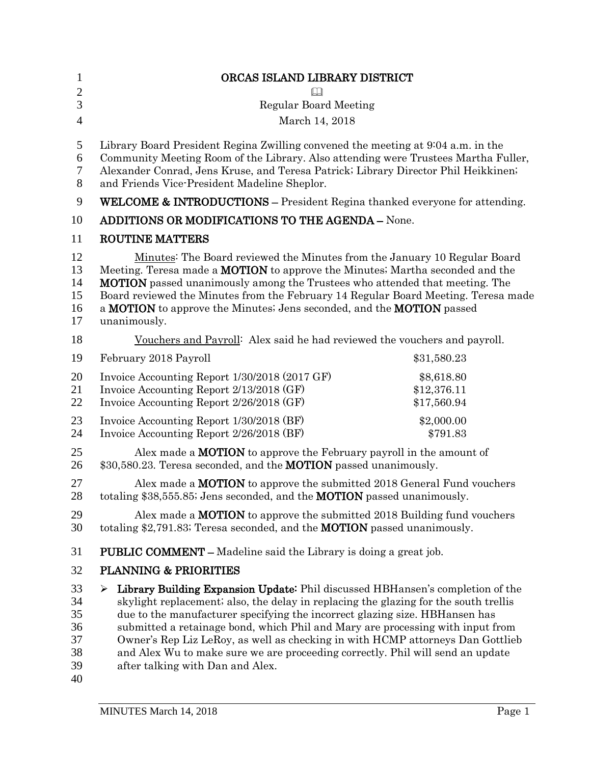| 1                                            | ORCAS ISLAND LIBRARY DISTRICT                                                                                                                                                                                                                                                                                                                                                                                                                                                                                                                        |                                          |
|----------------------------------------------|------------------------------------------------------------------------------------------------------------------------------------------------------------------------------------------------------------------------------------------------------------------------------------------------------------------------------------------------------------------------------------------------------------------------------------------------------------------------------------------------------------------------------------------------------|------------------------------------------|
| $\overline{2}$                               |                                                                                                                                                                                                                                                                                                                                                                                                                                                                                                                                                      |                                          |
| 3                                            | <b>Regular Board Meeting</b>                                                                                                                                                                                                                                                                                                                                                                                                                                                                                                                         |                                          |
| $\overline{4}$                               | March 14, 2018                                                                                                                                                                                                                                                                                                                                                                                                                                                                                                                                       |                                          |
| 5<br>6<br>$\tau$<br>8                        | Library Board President Regina Zwilling convened the meeting at 9:04 a.m. in the<br>Community Meeting Room of the Library. Also attending were Trustees Martha Fuller,<br>Alexander Conrad, Jens Kruse, and Teresa Patrick; Library Director Phil Heikkinen;<br>and Friends Vice-President Madeline Sheplor.                                                                                                                                                                                                                                         |                                          |
| 9                                            | <b>WELCOME &amp; INTRODUCTIONS - President Regina thanked everyone for attending.</b>                                                                                                                                                                                                                                                                                                                                                                                                                                                                |                                          |
| 10                                           | ADDITIONS OR MODIFICATIONS TO THE AGENDA - None.                                                                                                                                                                                                                                                                                                                                                                                                                                                                                                     |                                          |
| 11                                           | <b>ROUTINE MATTERS</b>                                                                                                                                                                                                                                                                                                                                                                                                                                                                                                                               |                                          |
| 12<br>13<br>14<br>15<br>16<br>17             | Minutes: The Board reviewed the Minutes from the January 10 Regular Board<br>Meeting. Teresa made a <b>MOTION</b> to approve the Minutes; Martha seconded and the<br><b>MOTION</b> passed unanimously among the Trustees who attended that meeting. The<br>Board reviewed the Minutes from the February 14 Regular Board Meeting. Teresa made<br>a MOTION to approve the Minutes; Jens seconded, and the MOTION passed<br>unanimously.                                                                                                               |                                          |
| 18                                           | Vouchers and Payroll: Alex said he had reviewed the vouchers and payroll.                                                                                                                                                                                                                                                                                                                                                                                                                                                                            |                                          |
| 19                                           | February 2018 Payroll                                                                                                                                                                                                                                                                                                                                                                                                                                                                                                                                | \$31,580.23                              |
| 20<br>21<br>22                               | Invoice Accounting Report 1/30/2018 (2017 GF)<br>Invoice Accounting Report 2/13/2018 (GF)<br>Invoice Accounting Report 2/26/2018 (GF)                                                                                                                                                                                                                                                                                                                                                                                                                | \$8,618.80<br>\$12,376.11<br>\$17,560.94 |
| 23<br>24                                     | Invoice Accounting Report 1/30/2018 (BF)<br>Invoice Accounting Report 2/26/2018 (BF)                                                                                                                                                                                                                                                                                                                                                                                                                                                                 | \$2,000.00<br>\$791.83                   |
| 25<br>26                                     | Alex made a <b>MOTION</b> to approve the February payroll in the amount of<br>\$30,580.23. Teresa seconded, and the <b>MOTION</b> passed unanimously.                                                                                                                                                                                                                                                                                                                                                                                                |                                          |
| 27<br>28                                     | Alex made a <b>MOTION</b> to approve the submitted 2018 General Fund vouchers<br>totaling \$38,555.85; Jens seconded, and the <b>MOTION</b> passed unanimously.                                                                                                                                                                                                                                                                                                                                                                                      |                                          |
| 29<br>30                                     | Alex made a <b>MOTION</b> to approve the submitted 2018 Building fund vouchers<br>totaling \$2,791.83; Teresa seconded, and the <b>MOTION</b> passed unanimously.                                                                                                                                                                                                                                                                                                                                                                                    |                                          |
| 31                                           | <b>PUBLIC COMMENT</b> – Madeline said the Library is doing a great job.                                                                                                                                                                                                                                                                                                                                                                                                                                                                              |                                          |
| 32                                           | <b>PLANNING &amp; PRIORITIES</b>                                                                                                                                                                                                                                                                                                                                                                                                                                                                                                                     |                                          |
| 33<br>34<br>35<br>36<br>37<br>38<br>39<br>40 | Library Building Expansion Update: Phil discussed HBHansen's completion of the<br>➤<br>skylight replacement; also, the delay in replacing the glazing for the south trellis<br>due to the manufacturer specifying the incorrect glazing size. HBHansen has<br>submitted a retainage bond, which Phil and Mary are processing with input from<br>Owner's Rep Liz LeRoy, as well as checking in with HCMP attorneys Dan Gottlieb<br>and Alex Wu to make sure we are proceeding correctly. Phil will send an update<br>after talking with Dan and Alex. |                                          |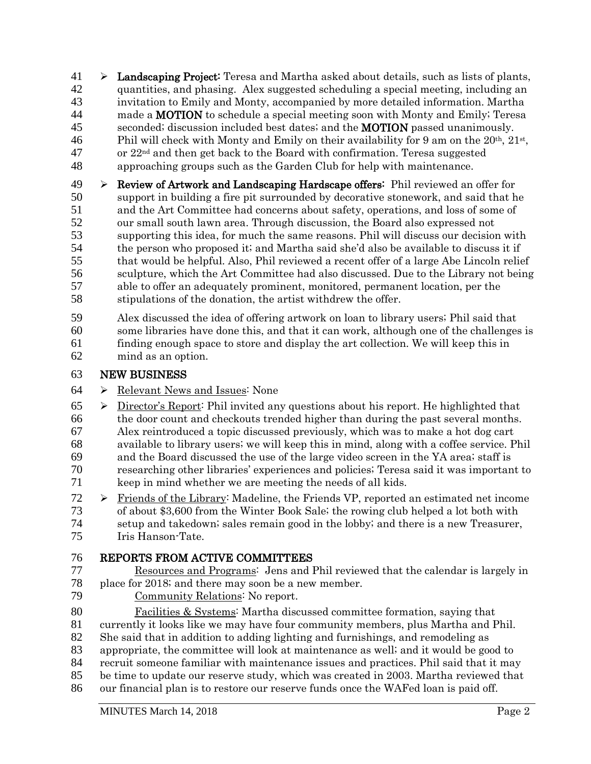41  $\triangleright$  Landscaping Project: Teresa and Martha asked about details, such as lists of plants, quantities, and phasing. Alex suggested scheduling a special meeting, including an invitation to Emily and Monty, accompanied by more detailed information. Martha 44 made a **MOTION** to schedule a special meeting soon with Monty and Emily; Teresa 45 seconded; discussion included best dates; and the **MOTION** passed unanimously. 46 Phil will check with Monty and Emily on their availability for 9 am on the  $20^{th}$ ,  $21^{st}$ , or 22nd and then get back to the Board with confirmation. Teresa suggested approaching groups such as the Garden Club for help with maintenance.

 $49 \rightarrow$  Review of Artwork and Landscaping Hardscape offers: Phil reviewed an offer for support in building a fire pit surrounded by decorative stonework, and said that he and the Art Committee had concerns about safety, operations, and loss of some of our small south lawn area. Through discussion, the Board also expressed not supporting this idea, for much the same reasons. Phil will discuss our decision with the person who proposed it; and Martha said she'd also be available to discuss it if that would be helpful. Also, Phil reviewed a recent offer of a large Abe Lincoln relief sculpture, which the Art Committee had also discussed. Due to the Library not being able to offer an adequately prominent, monitored, permanent location, per the stipulations of the donation, the artist withdrew the offer.

 Alex discussed the idea of offering artwork on loan to library users; Phil said that some libraries have done this, and that it can work, although one of the challenges is finding enough space to store and display the art collection. We will keep this in

mind as an option.

## NEW BUSINESS

- 64 > <u>Relevant News and Issues</u>: None
- $65 \rightarrow$  Director's Report: Phil invited any questions about his report. He highlighted that the door count and checkouts trended higher than during the past several months. Alex reintroduced a topic discussed previously, which was to make a hot dog cart available to library users; we will keep this in mind, along with a coffee service. Phil and the Board discussed the use of the large video screen in the YA area; staff is researching other libraries' experiences and policies; Teresa said it was important to
- keep in mind whether we are meeting the needs of all kids.
- $72 \rightarrow$  Friends of the Library: Madeline, the Friends VP, reported an estimated net income of about \$3,600 from the Winter Book Sale; the rowing club helped a lot both with
- setup and takedown; sales remain good in the lobby; and there is a new Treasurer, Iris Hanson-Tate.

### REPORTS FROM ACTIVE COMMITTEES

- Resources and Programs: Jens and Phil reviewed that the calendar is largely in place for 2018; and there may soon be a new member.
- Community Relations: No report.

 Facilities & Systems: Martha discussed committee formation, saying that currently it looks like we may have four community members, plus Martha and Phil. She said that in addition to adding lighting and furnishings, and remodeling as appropriate, the committee will look at maintenance as well; and it would be good to

recruit someone familiar with maintenance issues and practices. Phil said that it may

- be time to update our reserve study, which was created in 2003. Martha reviewed that
- our financial plan is to restore our reserve funds once the WAFed loan is paid off.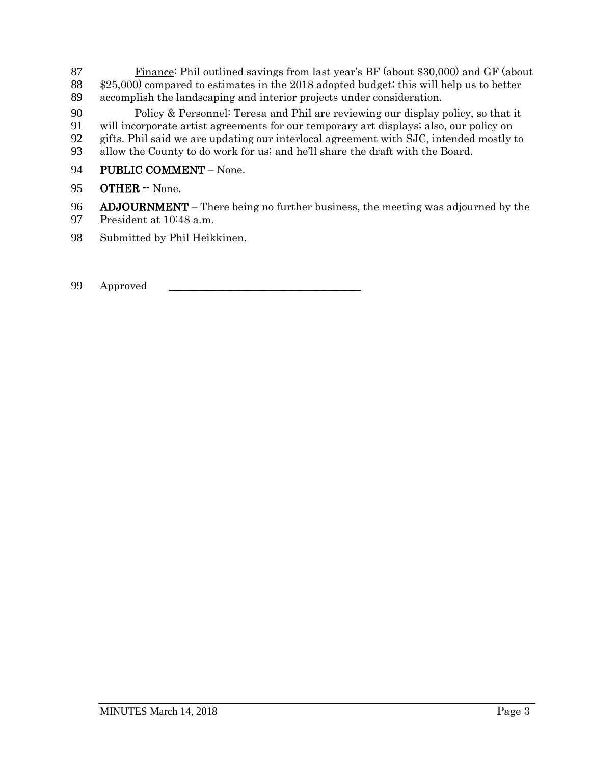87 Finance: Phil outlined savings from last year's BF (about \$30,000) and GF (about 88 \$25,000) compared to estimates in the 2018 adopted budget; this will help us to better 89 accomplish the landscaping and interior projects under consideration.

90 Policy & Personnel: Teresa and Phil are reviewing our display policy, so that it 91 will incorporate artist agreements for our temporary art displays; also, our policy on<br>92 gifts. Phil said we are updating our interlocal agreement with SJC, intended mostly gifts. Phil said we are updating our interlocal agreement with SJC, intended mostly to 93 allow the County to do work for us; and he'll share the draft with the Board.

94 PUBLIC COMMENT – None.

## 95 OTHER -- None.

96 ADJOURNMENT – There being no further business, the meeting was adjourned by the 97 President at 10:48 a.m.

- 98 Submitted by Phil Heikkinen.
- 99 Approved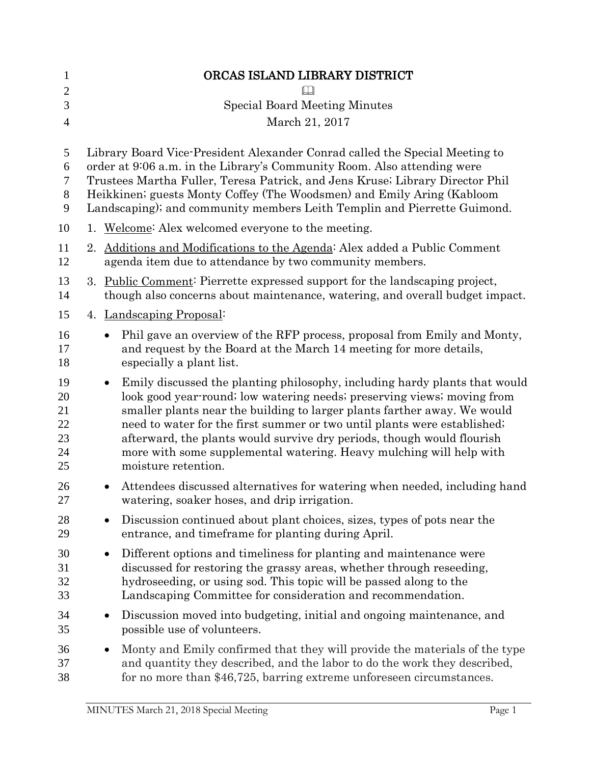| $\mathbf{1}$                           | ORCAS ISLAND LIBRARY DISTRICT                                                                                                                                                                                                                                                                                                                                                                                                                                                                      |
|----------------------------------------|----------------------------------------------------------------------------------------------------------------------------------------------------------------------------------------------------------------------------------------------------------------------------------------------------------------------------------------------------------------------------------------------------------------------------------------------------------------------------------------------------|
| $\mathbf{2}$                           |                                                                                                                                                                                                                                                                                                                                                                                                                                                                                                    |
| 3                                      | <b>Special Board Meeting Minutes</b>                                                                                                                                                                                                                                                                                                                                                                                                                                                               |
| $\overline{4}$                         | March 21, 2017                                                                                                                                                                                                                                                                                                                                                                                                                                                                                     |
| 5<br>6<br>$\boldsymbol{7}$<br>8<br>9   | Library Board Vice-President Alexander Conrad called the Special Meeting to<br>order at 9:06 a.m. in the Library's Community Room. Also attending were<br>Trustees Martha Fuller, Teresa Patrick, and Jens Kruse; Library Director Phil<br>Heikkinen; guests Monty Coffey (The Woodsmen) and Emily Aring (Kabloom<br>Landscaping); and community members Leith Templin and Pierrette Guimond.                                                                                                      |
| 10                                     | Welcome: Alex welcomed everyone to the meeting.<br>1.                                                                                                                                                                                                                                                                                                                                                                                                                                              |
| 11<br>12                               | 2. Additions and Modifications to the Agenda: Alex added a Public Comment<br>agenda item due to attendance by two community members.                                                                                                                                                                                                                                                                                                                                                               |
| 13<br>14                               | 3. Public Comment: Pierrette expressed support for the landscaping project,<br>though also concerns about maintenance, watering, and overall budget impact.                                                                                                                                                                                                                                                                                                                                        |
| 15                                     | 4. Landscaping Proposal:                                                                                                                                                                                                                                                                                                                                                                                                                                                                           |
| 16<br>17<br>18                         | Phil gave an overview of the RFP process, proposal from Emily and Monty,<br>$\bullet$<br>and request by the Board at the March 14 meeting for more details,<br>especially a plant list.                                                                                                                                                                                                                                                                                                            |
| 19<br>20<br>21<br>22<br>23<br>24<br>25 | Emily discussed the planting philosophy, including hardy plants that would<br>$\bullet$<br>look good year-round; low watering needs; preserving views; moving from<br>smaller plants near the building to larger plants farther away. We would<br>need to water for the first summer or two until plants were established;<br>afterward, the plants would survive dry periods, though would flourish<br>more with some supplemental watering. Heavy mulching will help with<br>moisture retention. |
| 26<br>27                               | Attendees discussed alternatives for watering when needed, including hand<br>watering, soaker hoses, and drip irrigation.                                                                                                                                                                                                                                                                                                                                                                          |
| 28<br>29                               | Discussion continued about plant choices, sizes, types of pots near the<br>entrance, and timeframe for planting during April.                                                                                                                                                                                                                                                                                                                                                                      |
| 30<br>31<br>32<br>33                   | Different options and timeliness for planting and maintenance were<br>$\bullet$<br>discussed for restoring the grassy areas, whether through reseeding,<br>hydroseeding, or using sod. This topic will be passed along to the<br>Landscaping Committee for consideration and recommendation.                                                                                                                                                                                                       |
| 34<br>35                               | Discussion moved into budgeting, initial and ongoing maintenance, and<br>$\bullet$<br>possible use of volunteers.                                                                                                                                                                                                                                                                                                                                                                                  |
| 36<br>37<br>38                         | Monty and Emily confirmed that they will provide the materials of the type<br>$\bullet$<br>and quantity they described, and the labor to do the work they described,<br>for no more than \$46,725, barring extreme unforeseen circumstances.                                                                                                                                                                                                                                                       |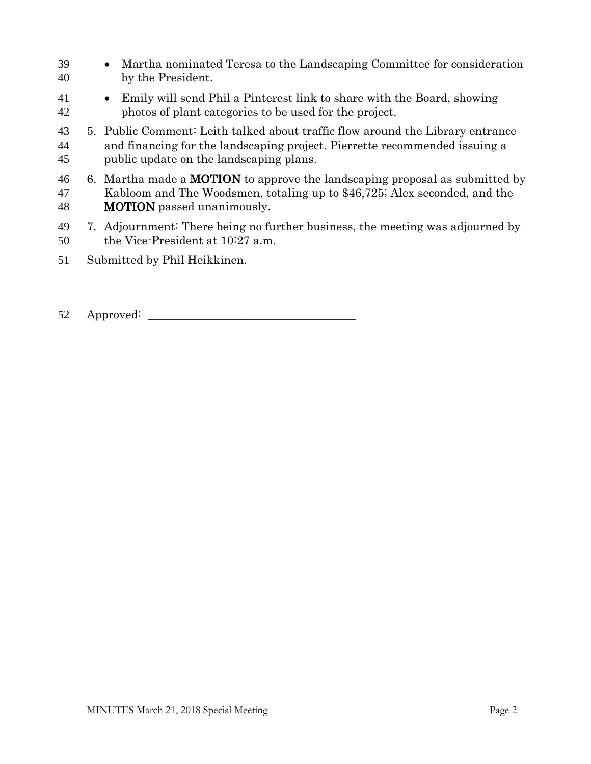- Martha nominated Teresa to the Landscaping Committee for consideration by the President. • Emily will send Phil a Pinterest link to share with the Board, showing photos of plant categories to be used for the project. 43 • 5. Public Comment: Leith talked about traffic flow around the Library entrance 46 6. Martha made a **MOTION** to approve the landscaping proposal as submitted by Kabloom and The Woodsmen, totaling up to \$46,725; Alex seconded, and the MOTION passed unanimously. and financing for the landscaping project. Pierrette recommended issuing a public update on the landscaping plans. 49 7. Adjournment: There being no further business, the meeting was adjourned by
- the Vice-President at 10:27 a.m.
- Submitted by Phil Heikkinen.
- 52 Approved: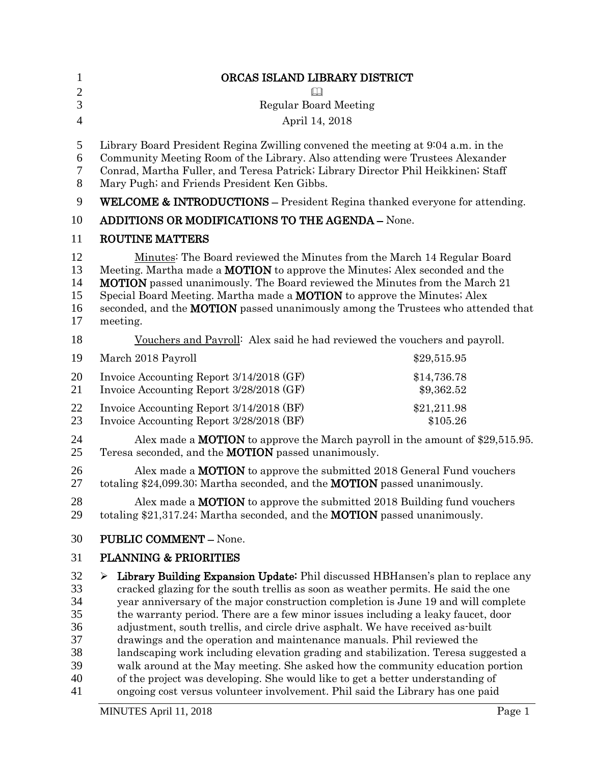| $\mathbf{1}$                                             | ORCAS ISLAND LIBRARY DISTRICT                                                                                                                                                                                                                                                                                                                                                                                                                                                                                                                                                                                                                                                                                                                                                                                                                             |                           |
|----------------------------------------------------------|-----------------------------------------------------------------------------------------------------------------------------------------------------------------------------------------------------------------------------------------------------------------------------------------------------------------------------------------------------------------------------------------------------------------------------------------------------------------------------------------------------------------------------------------------------------------------------------------------------------------------------------------------------------------------------------------------------------------------------------------------------------------------------------------------------------------------------------------------------------|---------------------------|
| $\overline{2}$                                           |                                                                                                                                                                                                                                                                                                                                                                                                                                                                                                                                                                                                                                                                                                                                                                                                                                                           |                           |
| 3                                                        | <b>Regular Board Meeting</b>                                                                                                                                                                                                                                                                                                                                                                                                                                                                                                                                                                                                                                                                                                                                                                                                                              |                           |
| $\overline{4}$                                           | April 14, 2018                                                                                                                                                                                                                                                                                                                                                                                                                                                                                                                                                                                                                                                                                                                                                                                                                                            |                           |
| 5<br>6<br>7<br>8                                         | Library Board President Regina Zwilling convened the meeting at 9:04 a.m. in the<br>Community Meeting Room of the Library. Also attending were Trustees Alexander<br>Conrad, Martha Fuller, and Teresa Patrick; Library Director Phil Heikkinen; Staff<br>Mary Pugh; and Friends President Ken Gibbs.                                                                                                                                                                                                                                                                                                                                                                                                                                                                                                                                                     |                           |
| 9                                                        | <b>WELCOME &amp; INTRODUCTIONS - President Regina thanked everyone for attending.</b>                                                                                                                                                                                                                                                                                                                                                                                                                                                                                                                                                                                                                                                                                                                                                                     |                           |
| 10                                                       | ADDITIONS OR MODIFICATIONS TO THE AGENDA - None.                                                                                                                                                                                                                                                                                                                                                                                                                                                                                                                                                                                                                                                                                                                                                                                                          |                           |
| 11                                                       | <b>ROUTINE MATTERS</b>                                                                                                                                                                                                                                                                                                                                                                                                                                                                                                                                                                                                                                                                                                                                                                                                                                    |                           |
| 12<br>13<br>14<br>15<br>16<br>17                         | Minutes: The Board reviewed the Minutes from the March 14 Regular Board<br>Meeting. Martha made a <b>MOTION</b> to approve the Minutes; Alex seconded and the<br><b>MOTION</b> passed unanimously. The Board reviewed the Minutes from the March 21<br>Special Board Meeting. Martha made a <b>MOTION</b> to approve the Minutes; Alex<br>seconded, and the MOTION passed unanimously among the Trustees who attended that<br>meeting.                                                                                                                                                                                                                                                                                                                                                                                                                    |                           |
| 18                                                       | Vouchers and Payroll: Alex said he had reviewed the vouchers and payroll.                                                                                                                                                                                                                                                                                                                                                                                                                                                                                                                                                                                                                                                                                                                                                                                 |                           |
| 19                                                       | March 2018 Payroll                                                                                                                                                                                                                                                                                                                                                                                                                                                                                                                                                                                                                                                                                                                                                                                                                                        | \$29,515.95               |
| 20<br>21                                                 | Invoice Accounting Report 3/14/2018 (GF)<br>Invoice Accounting Report 3/28/2018 (GF)                                                                                                                                                                                                                                                                                                                                                                                                                                                                                                                                                                                                                                                                                                                                                                      | \$14,736.78<br>\$9,362.52 |
| 22<br>23                                                 | Invoice Accounting Report 3/14/2018 (BF)<br>Invoice Accounting Report 3/28/2018 (BF)                                                                                                                                                                                                                                                                                                                                                                                                                                                                                                                                                                                                                                                                                                                                                                      | \$21,211.98<br>\$105.26   |
| 24<br>25                                                 | Alex made a <b>MOTION</b> to approve the March payroll in the amount of $$29,515.95$ .<br>Teresa seconded, and the <b>MOTION</b> passed unanimously.                                                                                                                                                                                                                                                                                                                                                                                                                                                                                                                                                                                                                                                                                                      |                           |
| 26<br>27                                                 | Alex made a <b>MOTION</b> to approve the submitted 2018 General Fund vouchers<br>totaling \$24,099.30; Martha seconded, and the <b>MOTION</b> passed unanimously.                                                                                                                                                                                                                                                                                                                                                                                                                                                                                                                                                                                                                                                                                         |                           |
| 28<br>29                                                 | Alex made a <b>MOTION</b> to approve the submitted 2018 Building fund vouchers<br>totaling \$21,317.24; Martha seconded, and the <b>MOTION</b> passed unanimously.                                                                                                                                                                                                                                                                                                                                                                                                                                                                                                                                                                                                                                                                                        |                           |
| 30                                                       | <b>PUBLIC COMMENT - None.</b>                                                                                                                                                                                                                                                                                                                                                                                                                                                                                                                                                                                                                                                                                                                                                                                                                             |                           |
| 31                                                       | <b>PLANNING &amp; PRIORITIES</b>                                                                                                                                                                                                                                                                                                                                                                                                                                                                                                                                                                                                                                                                                                                                                                                                                          |                           |
| 32<br>33<br>34<br>35<br>36<br>37<br>38<br>39<br>40<br>41 | Library Building Expansion Update: Phil discussed HBHansen's plan to replace any<br>➤<br>cracked glazing for the south trellis as soon as weather permits. He said the one<br>year anniversary of the major construction completion is June 19 and will complete<br>the warranty period. There are a few minor issues including a leaky faucet, door<br>adjustment, south trellis, and circle drive asphalt. We have received as built<br>drawings and the operation and maintenance manuals. Phil reviewed the<br>landscaping work including elevation grading and stabilization. Teresa suggested a<br>walk around at the May meeting. She asked how the community education portion<br>of the project was developing. She would like to get a better understanding of<br>ongoing cost versus volunteer involvement. Phil said the Library has one paid |                           |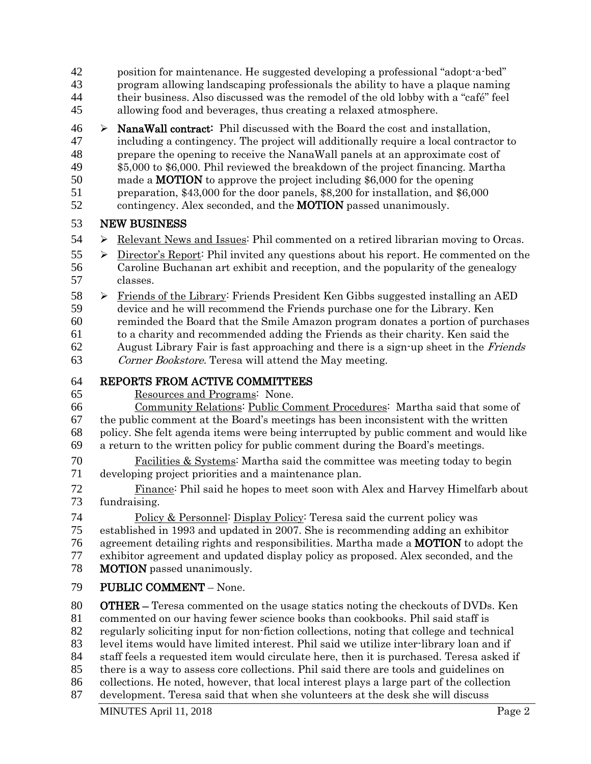- position for maintenance. He suggested developing a professional "adopt-a-bed" program allowing landscaping professionals the ability to have a plaque naming their business. Also discussed was the remodel of the old lobby with a "café" feel
- allowing food and beverages, thus creating a relaxed atmosphere.
- $46 \rightarrow$  **NanaWall contract:** Phil discussed with the Board the cost and installation, including a contingency. The project will additionally require a local contractor to prepare the opening to receive the NanaWall panels at an approximate cost of
- \$5,000 to \$6,000. Phil reviewed the breakdown of the project financing. Martha
- made a MOTION to approve the project including \$6,000 for the opening
- preparation, \$43,000 for the door panels, \$8,200 for installation, and \$6,000
- contingency. Alex seconded, and the MOTION passed unanimously.

# NEW BUSINESS

- $54 \rightarrow$  Relevant News and Issues<sup>:</sup> Phil commented on a retired librarian moving to Orcas.
- $55 \rightarrow$  Director's Report: Phil invited any questions about his report. He commented on the Caroline Buchanan art exhibit and reception, and the popularity of the genealogy classes.
- $58 \rightarrow$  Friends of the Library: Friends President Ken Gibbs suggested installing an AED device and he will recommend the Friends purchase one for the Library. Ken
- reminded the Board that the Smile Amazon program donates a portion of purchases
- to a charity and recommended adding the Friends as their charity. Ken said the
- 62 August Library Fair is fast approaching and there is a sign-up sheet in the Friends
- 63 Corner Bookstore. Teresa will attend the May meeting.

# REPORTS FROM ACTIVE COMMITTEES

- Resources and Programs: None.
- Community Relations: Public Comment Procedures: Martha said that some of the public comment at the Board's meetings has been inconsistent with the written policy. She felt agenda items were being interrupted by public comment and would like a return to the written policy for public comment during the Board's meetings.
- Facilities & Systems: Martha said the committee was meeting today to begin developing project priorities and a maintenance plan.
- Finance: Phil said he hopes to meet soon with Alex and Harvey Himelfarb about fundraising.
- 74 Policy & Personnel: Display Policy: Teresa said the current policy was established in 1993 and updated in 2007. She is recommending adding an exhibitor agreement detailing rights and responsibilities. Martha made a MOTION to adopt the exhibitor agreement and updated display policy as proposed. Alex seconded, and the
- MOTION passed unanimously.
- PUBLIC COMMENT None.
- **OTHER** Teresa commented on the usage statics noting the checkouts of DVDs. Ken commented on our having fewer science books than cookbooks. Phil said staff is regularly soliciting input for non-fiction collections, noting that college and technical level items would have limited interest. Phil said we utilize inter-library loan and if staff feels a requested item would circulate here, then it is purchased. Teresa asked if there is a way to assess core collections. Phil said there are tools and guidelines on collections. He noted, however, that local interest plays a large part of the collection development. Teresa said that when she volunteers at the desk she will discuss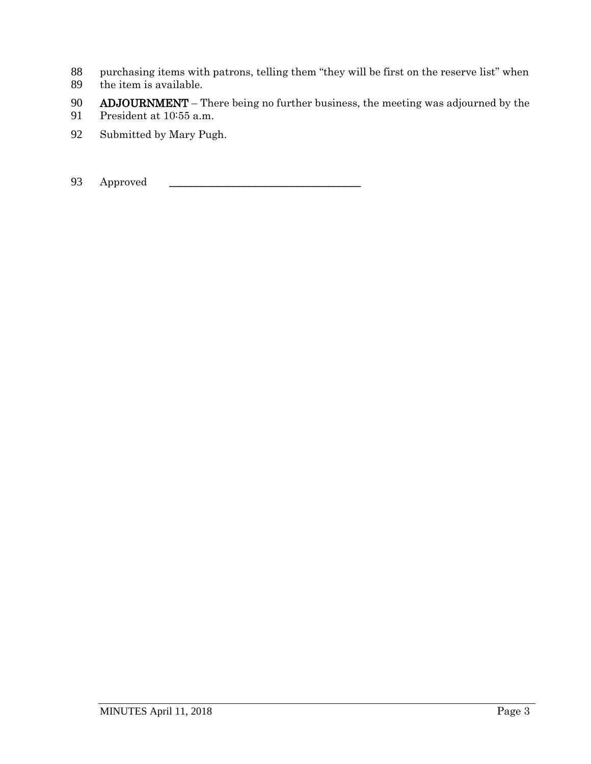- 88 purchasing items with patrons, telling them "they will be first on the reserve list" when<br>89 the item is available.
- the item is available.
- 90 **ADJOURNMENT** There being no further business, the meeting was adjourned by the President at  $10:55$  a.m.
- President at 10:55 a.m.
- 92 Submitted by Mary Pugh.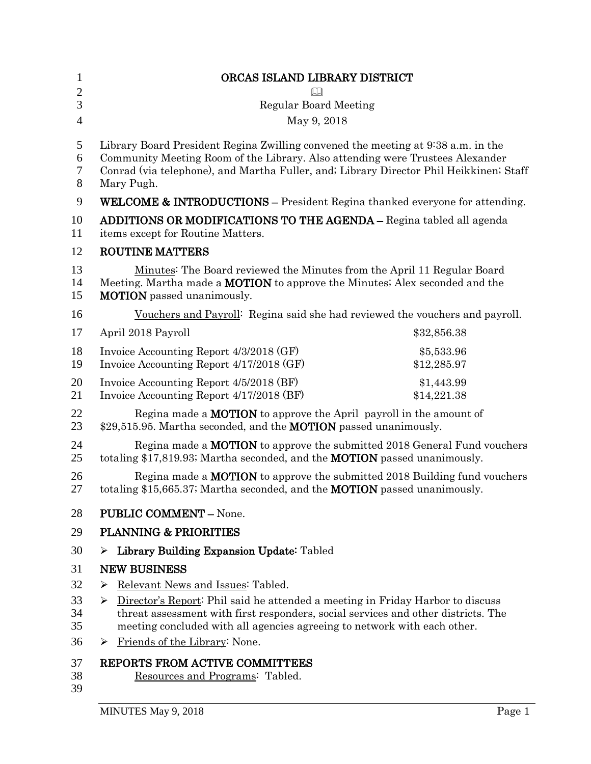| 1                | ORCAS ISLAND LIBRARY DISTRICT                                                                                                                                                                                                                                             |                           |
|------------------|---------------------------------------------------------------------------------------------------------------------------------------------------------------------------------------------------------------------------------------------------------------------------|---------------------------|
| $\overline{2}$   | $\Box$                                                                                                                                                                                                                                                                    |                           |
| 3                | <b>Regular Board Meeting</b>                                                                                                                                                                                                                                              |                           |
| $\overline{4}$   | May 9, 2018                                                                                                                                                                                                                                                               |                           |
| 5<br>6<br>7<br>8 | Library Board President Regina Zwilling convened the meeting at 9:38 a.m. in the<br>Community Meeting Room of the Library. Also attending were Trustees Alexander<br>Conrad (via telephone), and Martha Fuller, and; Library Director Phil Heikkinen; Staff<br>Mary Pugh. |                           |
| 9                | <b>WELCOME &amp; INTRODUCTIONS</b> – President Regina thanked everyone for attending.                                                                                                                                                                                     |                           |
| 10<br>11         | <b>ADDITIONS OR MODIFICATIONS TO THE AGENDA - Regina tabled all agenda</b><br>items except for Routine Matters.                                                                                                                                                           |                           |
| 12               | <b>ROUTINE MATTERS</b>                                                                                                                                                                                                                                                    |                           |
| 13<br>14<br>15   | Minutes: The Board reviewed the Minutes from the April 11 Regular Board<br>Meeting. Martha made a <b>MOTION</b> to approve the Minutes; Alex seconded and the<br><b>MOTION</b> passed unanimously.                                                                        |                           |
| 16               | Vouchers and Payroll: Regina said she had reviewed the vouchers and payroll.                                                                                                                                                                                              |                           |
| 17               | April 2018 Payroll                                                                                                                                                                                                                                                        | \$32,856.38               |
| 18<br>19         | Invoice Accounting Report 4/3/2018 (GF)<br>Invoice Accounting Report 4/17/2018 (GF)                                                                                                                                                                                       | \$5,533.96<br>\$12,285.97 |
| 20<br>21         | Invoice Accounting Report 4/5/2018 (BF)<br>Invoice Accounting Report 4/17/2018 (BF)                                                                                                                                                                                       | \$1,443.99<br>\$14,221.38 |
| 22<br>23         | Regina made a <b>MOTION</b> to approve the April payroll in the amount of<br>\$29,515.95. Martha seconded, and the <b>MOTION</b> passed unanimously.                                                                                                                      |                           |
| 24<br>25         | Regina made a <b>MOTION</b> to approve the submitted 2018 General Fund vouchers<br>totaling \$17,819.93; Martha seconded, and the <b>MOTION</b> passed unanimously.                                                                                                       |                           |
| 26<br>27         | Regina made a <b>MOTION</b> to approve the submitted 2018 Building fund vouchers<br>totaling \$15,665.37; Martha seconded, and the <b>MOTION</b> passed unanimously.                                                                                                      |                           |
| 28               | <b>PUBLIC COMMENT - None.</b>                                                                                                                                                                                                                                             |                           |
| 29               | <b>PLANNING &amp; PRIORITIES</b>                                                                                                                                                                                                                                          |                           |
| 30               | Library Building Expansion Update: Tabled<br>➤                                                                                                                                                                                                                            |                           |
| 31               | <b>NEW BUSINESS</b>                                                                                                                                                                                                                                                       |                           |
| 32               | Relevant News and Issues: Tabled.<br>➤                                                                                                                                                                                                                                    |                           |
| 33<br>34<br>35   | Director's Report: Phil said he attended a meeting in Friday Harbor to discuss<br>➤<br>threat assessment with first responders, social services and other districts. The<br>meeting concluded with all agencies agreeing to network with each other.                      |                           |
| 36               | Friends of the Library: None.<br>➤                                                                                                                                                                                                                                        |                           |
| 37<br>38<br>39   | REPORTS FROM ACTIVE COMMITTEES<br>Resources and Programs: Tabled.                                                                                                                                                                                                         |                           |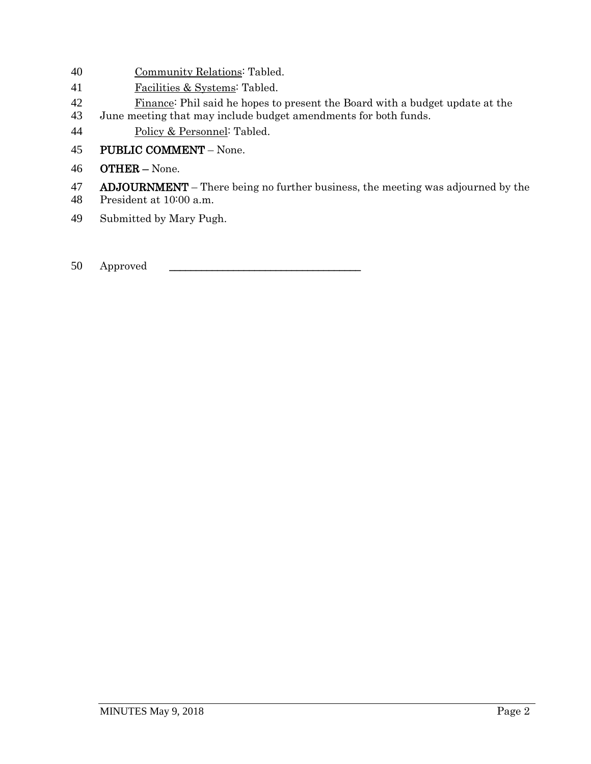- Community Relations: Tabled.
- Facilities & Systems: Tabled.
- Finance: Phil said he hopes to present the Board with a budget update at the
- June meeting that may include budget amendments for both funds.
- 44 Policy & Personnel<sup>:</sup> Tabled.
- PUBLIC COMMENT None.
- OTHER None.
- 47 ADJOURNMENT There being no further business, the meeting was adjourned by the
- President at 10:00 a.m.
- Submitted by Mary Pugh.
- 50 Approved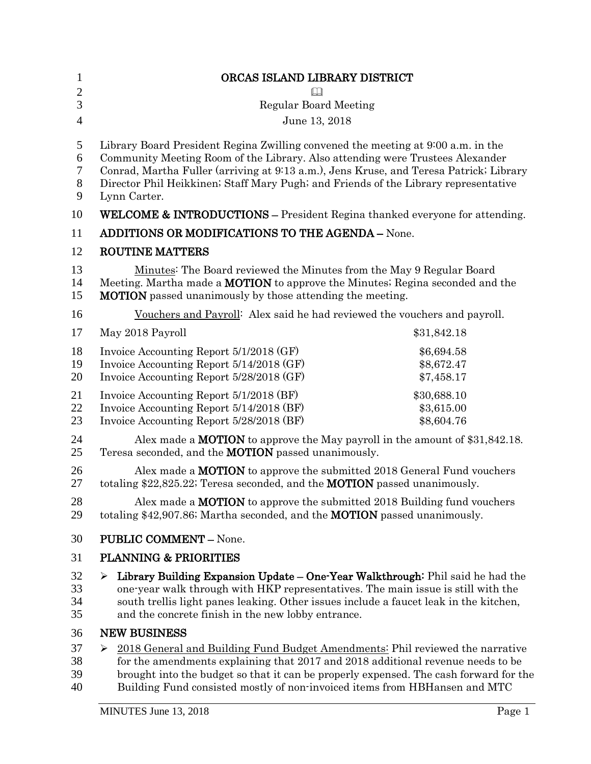| $\mathbf{1}$                             | ORCAS ISLAND LIBRARY DISTRICT                                                                                                                                                                                                                                                                                                                                      |                                         |
|------------------------------------------|--------------------------------------------------------------------------------------------------------------------------------------------------------------------------------------------------------------------------------------------------------------------------------------------------------------------------------------------------------------------|-----------------------------------------|
| $\mathfrak{2}$<br>3                      | <b>Regular Board Meeting</b>                                                                                                                                                                                                                                                                                                                                       |                                         |
| $\overline{4}$                           | June 13, 2018                                                                                                                                                                                                                                                                                                                                                      |                                         |
| 5<br>6<br>$\boldsymbol{7}$<br>$8\,$<br>9 | Library Board President Regina Zwilling convened the meeting at 9:00 a.m. in the<br>Community Meeting Room of the Library. Also attending were Trustees Alexander<br>Conrad, Martha Fuller (arriving at 9:13 a.m.), Jens Kruse, and Teresa Patrick; Library<br>Director Phil Heikkinen; Staff Mary Pugh; and Friends of the Library representative<br>Lynn Carter. |                                         |
| 10                                       | WELCOME & INTRODUCTIONS - President Regina thanked everyone for attending.                                                                                                                                                                                                                                                                                         |                                         |
| 11                                       | <b>ADDITIONS OR MODIFICATIONS TO THE AGENDA - None.</b>                                                                                                                                                                                                                                                                                                            |                                         |
| 12                                       | <b>ROUTINE MATTERS</b>                                                                                                                                                                                                                                                                                                                                             |                                         |
| 13<br>14<br>15                           | Minutes: The Board reviewed the Minutes from the May 9 Regular Board<br>Meeting. Martha made a <b>MOTION</b> to approve the Minutes; Regina seconded and the<br><b>MOTION</b> passed unanimously by those attending the meeting.                                                                                                                                   |                                         |
| 16                                       | Vouchers and Payroll: Alex said he had reviewed the vouchers and payroll.                                                                                                                                                                                                                                                                                          |                                         |
| 17                                       | May 2018 Payroll                                                                                                                                                                                                                                                                                                                                                   | \$31,842.18                             |
| 18<br>19<br>20                           | Invoice Accounting Report 5/1/2018 (GF)<br>Invoice Accounting Report 5/14/2018 (GF)<br>Invoice Accounting Report 5/28/2018 (GF)                                                                                                                                                                                                                                    | \$6,694.58<br>\$8,672.47<br>\$7,458.17  |
| 21<br>22<br>23                           | Invoice Accounting Report 5/1/2018 (BF)<br>Invoice Accounting Report 5/14/2018 (BF)<br>Invoice Accounting Report 5/28/2018 (BF)                                                                                                                                                                                                                                    | \$30,688.10<br>\$3,615.00<br>\$8,604.76 |
| 24<br>25                                 | Alex made a <b>MOTION</b> to approve the May payroll in the amount of $$31,842.18$ .<br>Teresa seconded, and the <b>MOTION</b> passed unanimously.                                                                                                                                                                                                                 |                                         |
| 26<br>27                                 | Alex made a <b>MOTION</b> to approve the submitted 2018 General Fund vouchers<br>totaling \$22,825.22; Teresa seconded, and the <b>MOTION</b> passed unanimously.                                                                                                                                                                                                  |                                         |
| 28<br>29                                 | Alex made a MOTION to approve the submitted 2018 Building fund vouchers<br>totaling \$42,907.86; Martha seconded, and the <b>MOTION</b> passed unanimously.                                                                                                                                                                                                        |                                         |
| 30                                       | <b>PUBLIC COMMENT - None.</b>                                                                                                                                                                                                                                                                                                                                      |                                         |
| 31                                       | <b>PLANNING &amp; PRIORITIES</b>                                                                                                                                                                                                                                                                                                                                   |                                         |
| 32<br>33<br>34<br>35                     | Library Building Expansion Update - One-Year Walkthrough: Phil said he had the<br>➤<br>one year walk through with HKP representatives. The main issue is still with the<br>south trellis light panes leaking. Other issues include a faucet leak in the kitchen,<br>and the concrete finish in the new lobby entrance.                                             |                                         |
| 36                                       | <b>NEW BUSINESS</b>                                                                                                                                                                                                                                                                                                                                                |                                         |
| 37<br>38<br>39<br>40                     | 2018 General and Building Fund Budget Amendments: Phil reviewed the narrative<br>➤<br>for the amendments explaining that 2017 and 2018 additional revenue needs to be<br>brought into the budget so that it can be properly expensed. The cash forward for the<br>Building Fund consisted mostly of non-invoiced items from HBHansen and MTC                       |                                         |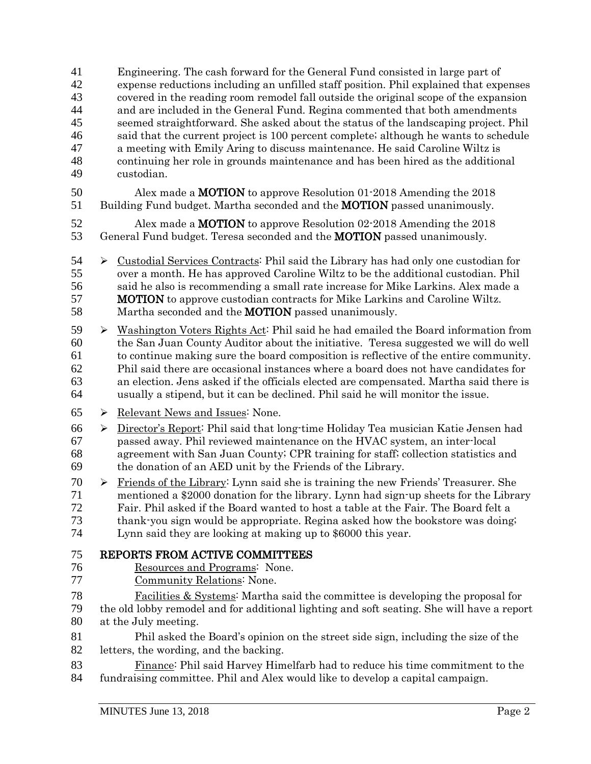Engineering. The cash forward for the General Fund consisted in large part of expense reductions including an unfilled staff position. Phil explained that expenses covered in the reading room remodel fall outside the original scope of the expansion and are included in the General Fund. Regina commented that both amendments seemed straightforward. She asked about the status of the landscaping project. Phil said that the current project is 100 percent complete; although he wants to schedule a meeting with Emily Aring to discuss maintenance. He said Caroline Wiltz is continuing her role in grounds maintenance and has been hired as the additional custodian. Alex made a MOTION to approve Resolution 01-2018 Amending the 2018 51 Building Fund budget. Martha seconded and the **MOTION** passed unanimously. 52 Alex made a **MOTION** to approve Resolution 02-2018 Amending the 2018 53 General Fund budget. Teresa seconded and the **MOTION** passed unanimously.  $54 \rightarrow$  Custodial Services Contracts: Phil said the Library has had only one custodian for  $\triangleright$  Washington Voters Rights Act: Phil said he had emailed the Board information from over a month. He has approved Caroline Wiltz to be the additional custodian. Phil said he also is recommending a small rate increase for Mike Larkins. Alex made a **MOTION** to approve custodian contracts for Mike Larkins and Caroline Wiltz. 58 Martha seconded and the **MOTION** passed unanimously.  $65 \rightarrow$  Relevant News and Issues: None. the San Juan County Auditor about the initiative. Teresa suggested we will do well to continue making sure the board composition is reflective of the entire community. Phil said there are occasional instances where a board does not have candidates for an election. Jens asked if the officials elected are compensated. Martha said there is usually a stipend, but it can be declined. Phil said he will monitor the issue. 66 > Director's Report: Phil said that long-time Holiday Tea musician Katie Jensen had  $\triangleright$  Friends of the Library: Lynn said she is training the new Friends' Treasurer. She passed away. Phil reviewed maintenance on the HVAC system, an inter-local agreement with San Juan County; CPR training for staff; collection statistics and the donation of an AED unit by the Friends of the Library. REPORTS FROM ACTIVE COMMITTEES mentioned a \$2000 donation for the library. Lynn had sign-up sheets for the Library Fair. Phil asked if the Board wanted to host a table at the Fair. The Board felt a thank-you sign would be appropriate. Regina asked how the bookstore was doing; Lynn said they are looking at making up to \$6000 this year. 76 Resources and Programs: None.<br>77 Community Relations: None. Community Relations: None. **Eaculities & Systems**: Martha said the committee is developing the proposal for Phil asked the Board's opinion on the street side sign, including the size of the letters, the wording, and the backing. the old lobby remodel and for additional lighting and soft seating. She will have a report at the July meeting. Finance: Phil said Harvey Himelfarb had to reduce his time commitment to the fundraising committee. Phil and Alex would like to develop a capital campaign.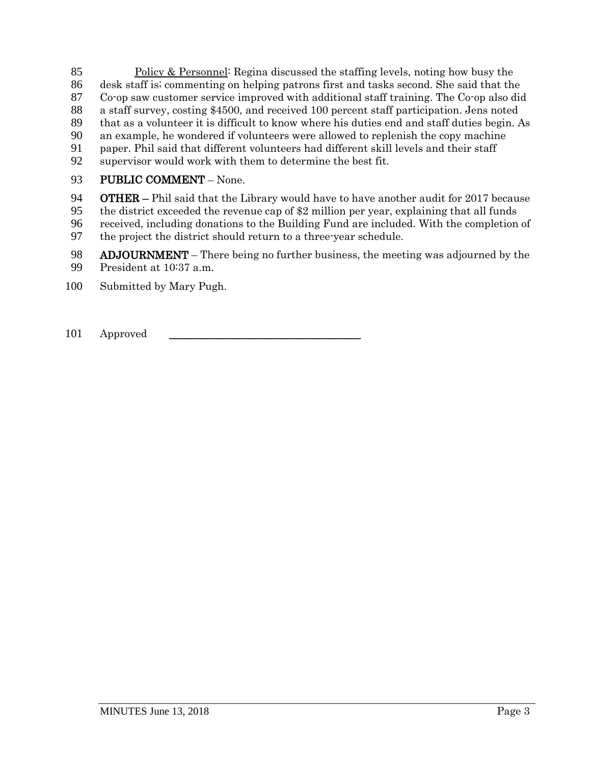- 85 Policy & Personnel: Regina discussed the staffing levels, noting how busy the
- desk staff is; commenting on helping patrons first and tasks second. She said that the
- Co-op saw customer service improved with additional staff training. The Co-op also did
- a staff survey, costing \$4500, and received 100 percent staff participation. Jens noted
- that as a volunteer it is difficult to know where his duties end and staff duties begin. As
- an example, he wondered if volunteers were allowed to replenish the copy machine paper. Phil said that different volunteers had different skill levels and their staff
- supervisor would work with them to determine the best fit.

# 93 PUBLIC COMMENT – None.

- 94 OTHER Phil said that the Library would have to have another audit for 2017 because
- the district exceeded the revenue cap of \$2 million per year, explaining that all funds
- received, including donations to the Building Fund are included. With the completion of
- the project the district should return to a three-year schedule.
- ADJOURNMENT There being no further business, the meeting was adjourned by the
- President at 10:37 a.m.
- Submitted by Mary Pugh.
- 101 Approved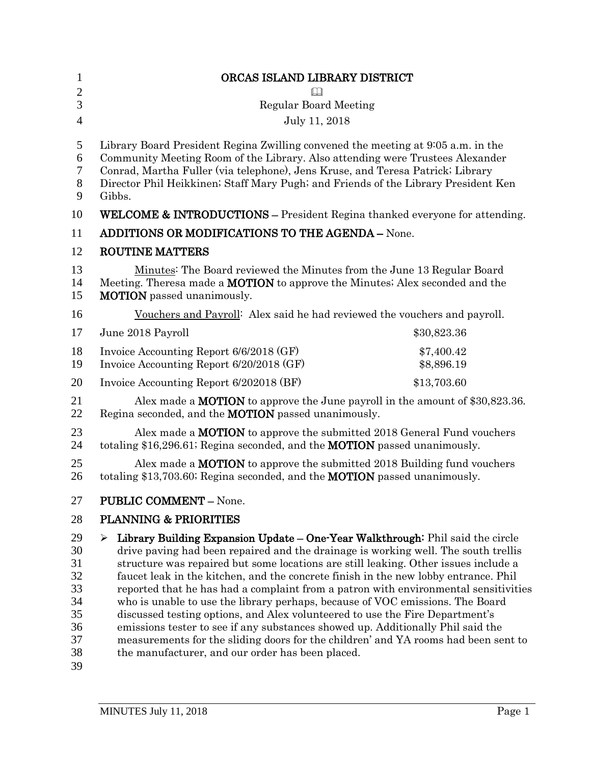| 1                                                              | ORCAS ISLAND LIBRARY DISTRICT                                                                                                                                                                                                                                                                                                                                                                                                                                                                                                                                                                                                                                                                                                                                                                                                                |                          |
|----------------------------------------------------------------|----------------------------------------------------------------------------------------------------------------------------------------------------------------------------------------------------------------------------------------------------------------------------------------------------------------------------------------------------------------------------------------------------------------------------------------------------------------------------------------------------------------------------------------------------------------------------------------------------------------------------------------------------------------------------------------------------------------------------------------------------------------------------------------------------------------------------------------------|--------------------------|
| $\mathbf{2}$                                                   | $\Box$                                                                                                                                                                                                                                                                                                                                                                                                                                                                                                                                                                                                                                                                                                                                                                                                                                       |                          |
| 3                                                              | <b>Regular Board Meeting</b>                                                                                                                                                                                                                                                                                                                                                                                                                                                                                                                                                                                                                                                                                                                                                                                                                 |                          |
| $\overline{4}$                                                 | July 11, 2018                                                                                                                                                                                                                                                                                                                                                                                                                                                                                                                                                                                                                                                                                                                                                                                                                                |                          |
| 5<br>6<br>7<br>$8\,$<br>9                                      | Library Board President Regina Zwilling convened the meeting at 9:05 a.m. in the<br>Community Meeting Room of the Library. Also attending were Trustees Alexander<br>Conrad, Martha Fuller (via telephone), Jens Kruse, and Teresa Patrick; Library<br>Director Phil Heikkinen; Staff Mary Pugh; and Friends of the Library President Ken<br>Gibbs.                                                                                                                                                                                                                                                                                                                                                                                                                                                                                          |                          |
| 10                                                             | WELCOME & INTRODUCTIONS - President Regina thanked everyone for attending.                                                                                                                                                                                                                                                                                                                                                                                                                                                                                                                                                                                                                                                                                                                                                                   |                          |
| 11                                                             | ADDITIONS OR MODIFICATIONS TO THE AGENDA - None.                                                                                                                                                                                                                                                                                                                                                                                                                                                                                                                                                                                                                                                                                                                                                                                             |                          |
| 12                                                             | <b>ROUTINE MATTERS</b>                                                                                                                                                                                                                                                                                                                                                                                                                                                                                                                                                                                                                                                                                                                                                                                                                       |                          |
| 13<br>14<br>15                                                 | Minutes: The Board reviewed the Minutes from the June 13 Regular Board<br>Meeting. Theresa made a <b>MOTION</b> to approve the Minutes; Alex seconded and the<br><b>MOTION</b> passed unanimously.                                                                                                                                                                                                                                                                                                                                                                                                                                                                                                                                                                                                                                           |                          |
| 16                                                             | Vouchers and Payroll: Alex said he had reviewed the vouchers and payroll.                                                                                                                                                                                                                                                                                                                                                                                                                                                                                                                                                                                                                                                                                                                                                                    |                          |
| 17                                                             | June 2018 Payroll                                                                                                                                                                                                                                                                                                                                                                                                                                                                                                                                                                                                                                                                                                                                                                                                                            | \$30,823.36              |
| 18<br>19                                                       | Invoice Accounting Report 6/6/2018 (GF)<br>Invoice Accounting Report 6/20/2018 (GF)                                                                                                                                                                                                                                                                                                                                                                                                                                                                                                                                                                                                                                                                                                                                                          | \$7,400.42<br>\$8,896.19 |
| 20                                                             | Invoice Accounting Report 6/202018 (BF)                                                                                                                                                                                                                                                                                                                                                                                                                                                                                                                                                                                                                                                                                                                                                                                                      | \$13,703.60              |
| 21<br>22                                                       | Alex made a <b>MOTION</b> to approve the June payroll in the amount of \$30,823.36.<br>Regina seconded, and the <b>MOTION</b> passed unanimously.                                                                                                                                                                                                                                                                                                                                                                                                                                                                                                                                                                                                                                                                                            |                          |
| 23<br>24                                                       | Alex made a <b>MOTION</b> to approve the submitted 2018 General Fund vouchers<br>totaling \$16,296.61; Regina seconded, and the <b>MOTION</b> passed unanimously.                                                                                                                                                                                                                                                                                                                                                                                                                                                                                                                                                                                                                                                                            |                          |
| 25<br>26                                                       | Alex made a <b>MOTION</b> to approve the submitted 2018 Building fund vouchers<br>totaling \$13,703.60; Regina seconded, and the <b>MOTION</b> passed unanimously.                                                                                                                                                                                                                                                                                                                                                                                                                                                                                                                                                                                                                                                                           |                          |
| 27                                                             | <b>PUBLIC COMMENT - None</b>                                                                                                                                                                                                                                                                                                                                                                                                                                                                                                                                                                                                                                                                                                                                                                                                                 |                          |
| 28                                                             | <b>PLANNING &amp; PRIORITIES</b>                                                                                                                                                                                                                                                                                                                                                                                                                                                                                                                                                                                                                                                                                                                                                                                                             |                          |
| 29<br>30<br>31<br>32<br>33<br>34<br>35<br>36<br>37<br>38<br>39 | Library Building Expansion Update – One Year Walkthrough: Phil said the circle<br>➤<br>drive paving had been repaired and the drainage is working well. The south trellis<br>structure was repaired but some locations are still leaking. Other issues include a<br>faucet leak in the kitchen, and the concrete finish in the new lobby entrance. Phil<br>reported that he has had a complaint from a patron with environmental sensitivities<br>who is unable to use the library perhaps, because of VOC emissions. The Board<br>discussed testing options, and Alex volunteered to use the Fire Department's<br>emissions tester to see if any substances showed up. Additionally Phil said the<br>measurements for the sliding doors for the children' and YA rooms had been sent to<br>the manufacturer, and our order has been placed. |                          |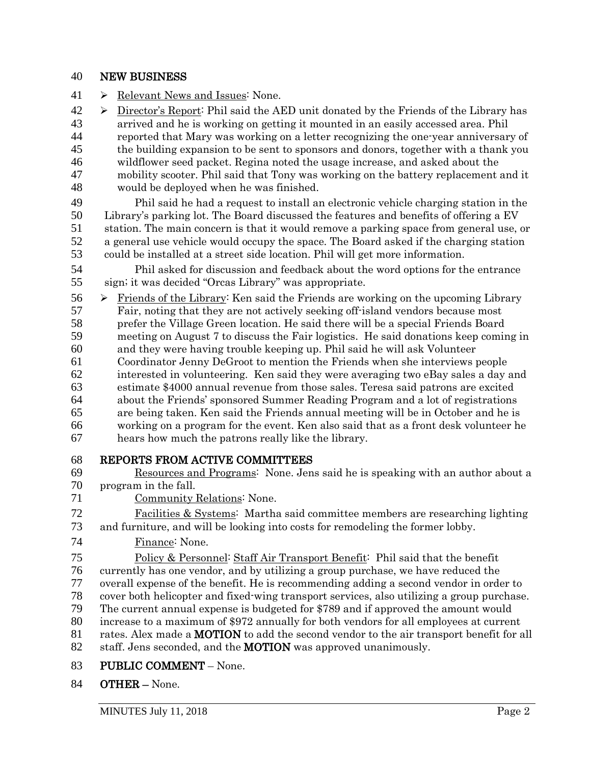#### NEW BUSINESS

41 > <u>Relevant News and Issues</u>: None.

 $42 \rightarrow$  Director's Report: Phil said the AED unit donated by the Friends of the Library has

 arrived and he is working on getting it mounted in an easily accessed area. Phil reported that Mary was working on a letter recognizing the one-year anniversary of the building expansion to be sent to sponsors and donors, together with a thank you wildflower seed packet. Regina noted the usage increase, and asked about the

 mobility scooter. Phil said that Tony was working on the battery replacement and it would be deployed when he was finished.

 Phil said he had a request to install an electronic vehicle charging station in the 50 Library's parking lot. The Board discussed the features and benefits of offering a EV<br>51 station. The main concern is that it would remove a parking space from general use, station. The main concern is that it would remove a parking space from general use, or a general use vehicle would occupy the space. The Board asked if the charging station could be installed at a street side location. Phil will get more information.

 Phil asked for discussion and feedback about the word options for the entrance sign; it was decided "Orcas Library" was appropriate.

 $56 \rightarrow$  Friends of the Library: Ken said the Friends are working on the upcoming Library Fair, noting that they are not actively seeking off-island vendors because most prefer the Village Green location. He said there will be a special Friends Board meeting on August 7 to discuss the Fair logistics. He said donations keep coming in

- and they were having trouble keeping up. Phil said he will ask Volunteer
- Coordinator Jenny DeGroot to mention the Friends when she interviews people
- interested in volunteering. Ken said they were averaging two eBay sales a day and estimate \$4000 annual revenue from those sales. Teresa said patrons are excited
- about the Friends' sponsored Summer Reading Program and a lot of registrations
- are being taken. Ken said the Friends annual meeting will be in October and he is
- working on a program for the event. Ken also said that as a front desk volunteer he
- hears how much the patrons really like the library.

#### REPORTS FROM ACTIVE COMMITTEES

- Resources and Programs: None. Jens said he is speaking with an author about a program in the fall.
- Community Relations: None.
- Facilities & Systems: Martha said committee members are researching lighting and furniture, and will be looking into costs for remodeling the former lobby.
- Finance: None.

75 Policy & Personnel: Staff Air Transport Benefit: Phil said that the benefit

- currently has one vendor, and by utilizing a group purchase, we have reduced the
- overall expense of the benefit. He is recommending adding a second vendor in order to
- cover both helicopter and fixed-wing transport services, also utilizing a group purchase.
- The current annual expense is budgeted for \$789 and if approved the amount would
- increase to a maximum of \$972 annually for both vendors for all employees at current
- 81 rates. Alex made a **MOTION** to add the second vendor to the air transport benefit for all
- 82 staff. Jens seconded, and the **MOTION** was approved unanimously.

#### PUBLIC COMMENT – None.

OTHER – None.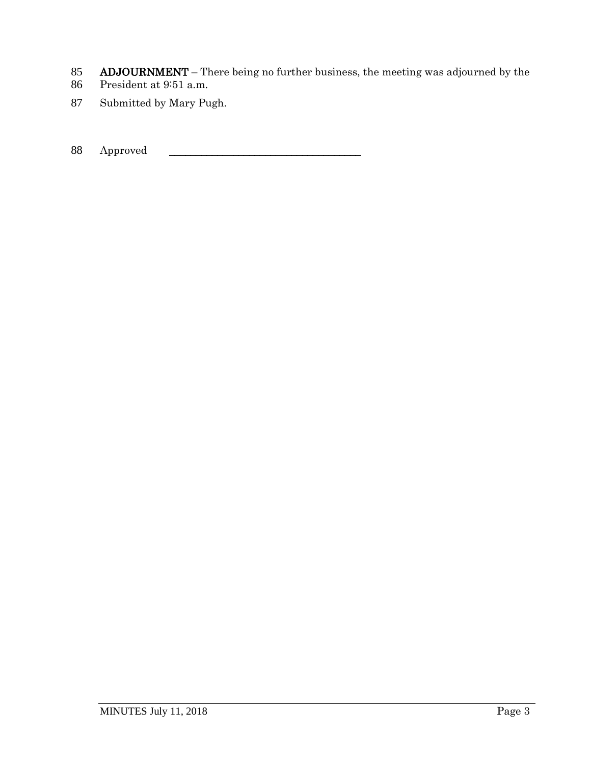- 85 **ADJOURNMENT** There being no further business, the meeting was adjourned by the President at 9:51 a.m.
- President at 9:51 a.m.
- 87 Submitted by Mary Pugh.

88 Approved \_\_\_\_\_\_\_\_\_\_\_\_\_\_\_\_\_\_\_\_\_\_\_\_\_\_\_\_\_\_\_\_\_\_\_\_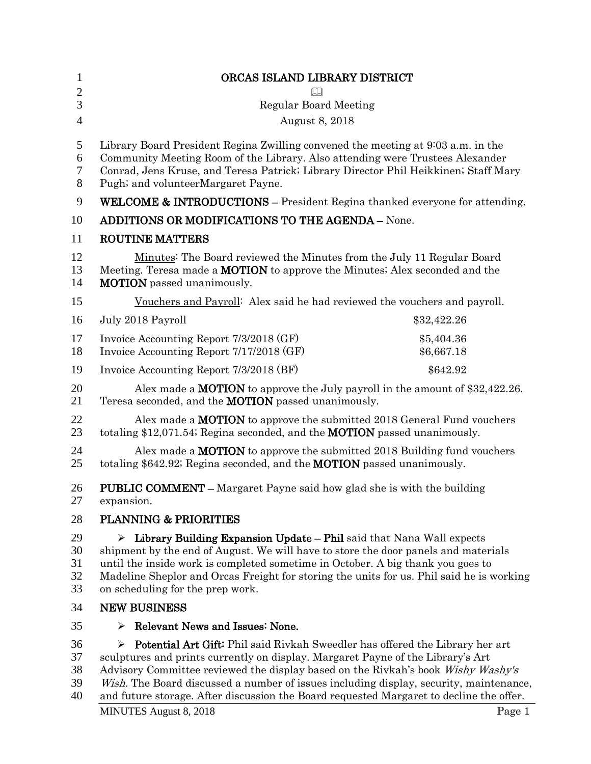| 1                          | ORCAS ISLAND LIBRARY DISTRICT                                                                                                                                                                                                                                                                                                                                                                                                                              |                          |
|----------------------------|------------------------------------------------------------------------------------------------------------------------------------------------------------------------------------------------------------------------------------------------------------------------------------------------------------------------------------------------------------------------------------------------------------------------------------------------------------|--------------------------|
| $\mathbf{2}$<br>3          | $\Box$                                                                                                                                                                                                                                                                                                                                                                                                                                                     |                          |
| 4                          | <b>Regular Board Meeting</b><br>August 8, 2018                                                                                                                                                                                                                                                                                                                                                                                                             |                          |
|                            |                                                                                                                                                                                                                                                                                                                                                                                                                                                            |                          |
| 5<br>6<br>7<br>8           | Library Board President Regina Zwilling convened the meeting at 9:03 a.m. in the<br>Community Meeting Room of the Library. Also attending were Trustees Alexander<br>Conrad, Jens Kruse, and Teresa Patrick; Library Director Phil Heikkinen; Staff Mary<br>Pugh; and volunteerMargaret Payne.                                                                                                                                                             |                          |
| 9                          | <b>WELCOME &amp; INTRODUCTIONS - President Regina thanked everyone for attending.</b>                                                                                                                                                                                                                                                                                                                                                                      |                          |
| 10                         | <b>ADDITIONS OR MODIFICATIONS TO THE AGENDA - None.</b>                                                                                                                                                                                                                                                                                                                                                                                                    |                          |
| 11                         | <b>ROUTINE MATTERS</b>                                                                                                                                                                                                                                                                                                                                                                                                                                     |                          |
| 12<br>13<br>14             | Minutes: The Board reviewed the Minutes from the July 11 Regular Board<br>Meeting. Teresa made a <b>MOTION</b> to approve the Minutes; Alex seconded and the<br><b>MOTION</b> passed unanimously.                                                                                                                                                                                                                                                          |                          |
| 15                         | Vouchers and Payroll: Alex said he had reviewed the vouchers and payroll.                                                                                                                                                                                                                                                                                                                                                                                  |                          |
| 16                         | July 2018 Payroll                                                                                                                                                                                                                                                                                                                                                                                                                                          | \$32,422.26              |
| 17<br>18                   | Invoice Accounting Report 7/3/2018 (GF)<br>Invoice Accounting Report 7/17/2018 (GF)                                                                                                                                                                                                                                                                                                                                                                        | \$5,404.36<br>\$6,667.18 |
| 19                         | Invoice Accounting Report 7/3/2018 (BF)                                                                                                                                                                                                                                                                                                                                                                                                                    | \$642.92                 |
| 20<br>21                   | Alex made a <b>MOTION</b> to approve the July payroll in the amount of $$32,422.26$ .<br>Teresa seconded, and the <b>MOTION</b> passed unanimously.                                                                                                                                                                                                                                                                                                        |                          |
| 22<br>23                   | Alex made a <b>MOTION</b> to approve the submitted 2018 General Fund vouchers<br>totaling \$12,071.54; Regina seconded, and the <b>MOTION</b> passed unanimously.                                                                                                                                                                                                                                                                                          |                          |
| 24<br>25                   | Alex made a <b>MOTION</b> to approve the submitted 2018 Building fund vouchers<br>totaling \$642.92; Regina seconded, and the <b>MOTION</b> passed unanimously.                                                                                                                                                                                                                                                                                            |                          |
| 26<br>27                   | <b>PUBLIC COMMENT</b> – Margaret Payne said how glad she is with the building<br>expansion.                                                                                                                                                                                                                                                                                                                                                                |                          |
| 28                         | PLANNING & PRIORITIES                                                                                                                                                                                                                                                                                                                                                                                                                                      |                          |
| 29<br>30<br>31<br>32<br>33 | $\triangleright$ Library Building Expansion Update – Phil said that Nana Wall expects<br>shipment by the end of August. We will have to store the door panels and materials<br>until the inside work is completed sometime in October. A big thank you goes to<br>Madeline Sheplor and Orcas Freight for storing the units for us. Phil said he is working<br>on scheduling for the prep work.                                                             |                          |
| 34                         | <b>NEW BUSINESS</b>                                                                                                                                                                                                                                                                                                                                                                                                                                        |                          |
| 35                         | Relevant News and Issues: None.                                                                                                                                                                                                                                                                                                                                                                                                                            |                          |
| 36<br>37<br>38<br>39<br>40 | $\triangleright$ Potential Art Gift: Phil said Rivkah Sweedler has offered the Library her art<br>sculptures and prints currently on display. Margaret Payne of the Library's Art<br>Advisory Committee reviewed the display based on the Rivkah's book Wishy Washy's<br>Wish. The Board discussed a number of issues including display, security, maintenance,<br>and future storage. After discussion the Board requested Margaret to decline the offer. |                          |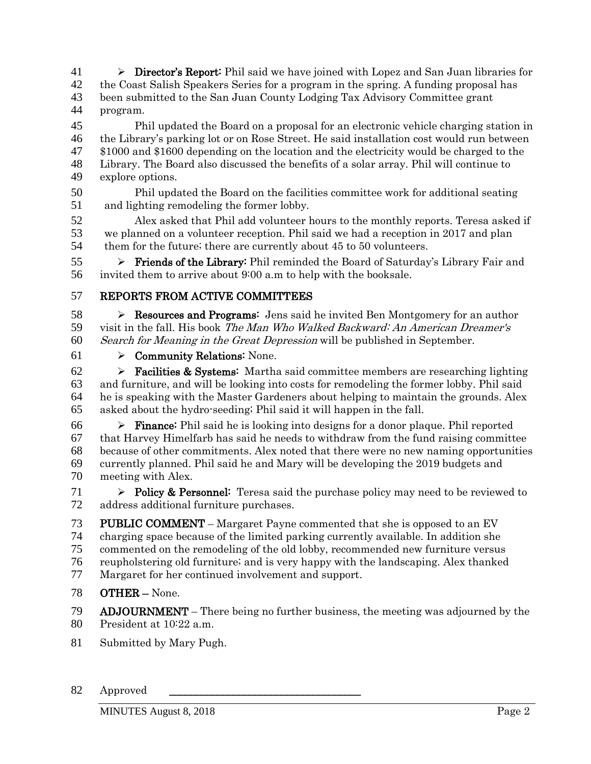$\triangleright$  **Director's Report:** Phil said we have joined with Lopez and San Juan libraries for the Coast Salish Speakers Series for a program in the spring. A funding proposal has been submitted to the San Juan County Lodging Tax Advisory Committee grant program.

 Phil updated the Board on a proposal for an electronic vehicle charging station in the Library's parking lot or on Rose Street. He said installation cost would run between \$1000 and \$1600 depending on the location and the electricity would be charged to the Library. The Board also discussed the benefits of a solar array. Phil will continue to explore options.

 Phil updated the Board on the facilities committee work for additional seating and lighting remodeling the former lobby.

52 Alex asked that Phil add volunteer hours to the monthly reports. Teresa asked if<br>53 we planned on a volunteer reception. Phil said we had a reception in 2017 and plan we planned on a volunteer reception. Phil said we had a reception in 2017 and plan 54 them for the future; there are currently about 45 to 50 volunteers.

  $\triangleright$  **Friends of the Library:** Phil reminded the Board of Saturday's Library Fair and invited them to arrive about 9:00 a.m to help with the booksale.

## REPORTS FROM ACTIVE COMMITTEES

58  $\triangleright$  **Resources and Programs:** Jens said he invited Ben Montgomery for an author 59 visit in the fall. His book The Man Who Walked Backward: An American Dreamer's 60 Search for Meaning in the Great Depression will be published in September.

### 61  $\triangleright$  Community Relations: None.

**Facilities & Systems:** Martha said committee members are researching lighting and furniture, and will be looking into costs for remodeling the former lobby. Phil said he is speaking with the Master Gardeners about helping to maintain the grounds. Alex asked about the hydro-seeding; Phil said it will happen in the fall.

 $\triangleright$  **Finance:** Phil said he is looking into designs for a donor plaque. Phil reported that Harvey Himelfarb has said he needs to withdraw from the fund raising committee because of other commitments. Alex noted that there were no new naming opportunities currently planned. Phil said he and Mary will be developing the 2019 budgets and meeting with Alex.

71  $\triangleright$  Policy & Personnel: Teresa said the purchase policy may need to be reviewed to address additional furniture purchases.

73 PUBLIC COMMENT – Margaret Payne commented that she is opposed to an EV charging space because of the limited parking currently available. In addition she commented on the remodeling of the old lobby, recommended new furniture versus reupholstering old furniture; and is very happy with the landscaping. Alex thanked Margaret for her continued involvement and support.

- OTHER None.
- ADJOURNMENT There being no further business, the meeting was adjourned by the
- President at 10:22 a.m.
- Submitted by Mary Pugh.
- 82 Approved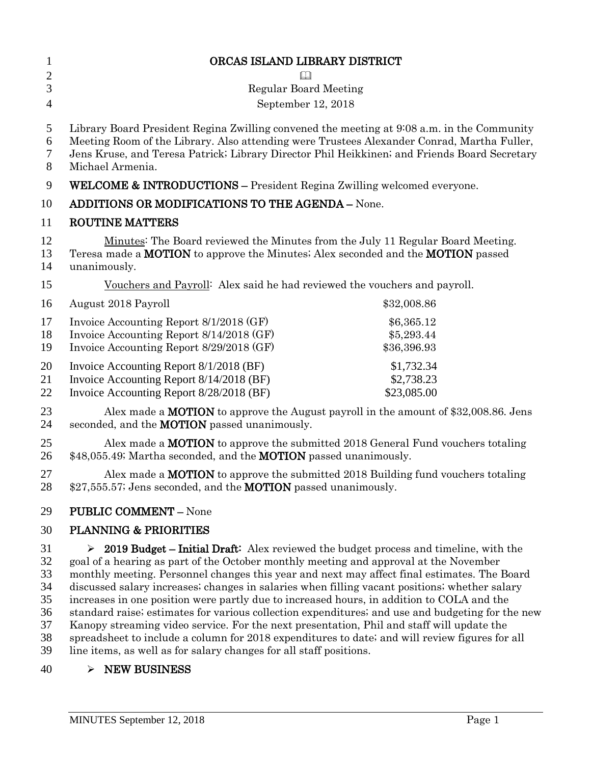| $\mathbf{1}$                                 | ORCAS ISLAND LIBRARY DISTRICT                                                                                                                                                                                                                                                                                                                                                                                                                                                                                                                                                                                                                                                                                                                                                        |                                         |
|----------------------------------------------|--------------------------------------------------------------------------------------------------------------------------------------------------------------------------------------------------------------------------------------------------------------------------------------------------------------------------------------------------------------------------------------------------------------------------------------------------------------------------------------------------------------------------------------------------------------------------------------------------------------------------------------------------------------------------------------------------------------------------------------------------------------------------------------|-----------------------------------------|
| $\mathbf{2}$<br>3                            | M                                                                                                                                                                                                                                                                                                                                                                                                                                                                                                                                                                                                                                                                                                                                                                                    |                                         |
| $\overline{4}$                               | <b>Regular Board Meeting</b>                                                                                                                                                                                                                                                                                                                                                                                                                                                                                                                                                                                                                                                                                                                                                         |                                         |
|                                              | September 12, 2018                                                                                                                                                                                                                                                                                                                                                                                                                                                                                                                                                                                                                                                                                                                                                                   |                                         |
| 5<br>6<br>7<br>8                             | Library Board President Regina Zwilling convened the meeting at 9:08 a.m. in the Community<br>Meeting Room of the Library. Also attending were Trustees Alexander Conrad, Martha Fuller,<br>Jens Kruse, and Teresa Patrick; Library Director Phil Heikkinen; and Friends Board Secretary<br>Michael Armenia.                                                                                                                                                                                                                                                                                                                                                                                                                                                                         |                                         |
| 9                                            | <b>WELCOME &amp; INTRODUCTIONS</b> – President Regina Zwilling welcomed everyone.                                                                                                                                                                                                                                                                                                                                                                                                                                                                                                                                                                                                                                                                                                    |                                         |
| 10                                           | ADDITIONS OR MODIFICATIONS TO THE AGENDA - None.                                                                                                                                                                                                                                                                                                                                                                                                                                                                                                                                                                                                                                                                                                                                     |                                         |
| 11                                           | <b>ROUTINE MATTERS</b>                                                                                                                                                                                                                                                                                                                                                                                                                                                                                                                                                                                                                                                                                                                                                               |                                         |
| 12<br>13<br>14                               | Minutes: The Board reviewed the Minutes from the July 11 Regular Board Meeting.<br>Teresa made a <b>MOTION</b> to approve the Minutes; Alex seconded and the <b>MOTION</b> passed<br>unanimously.                                                                                                                                                                                                                                                                                                                                                                                                                                                                                                                                                                                    |                                         |
| 15                                           | Vouchers and Payroll: Alex said he had reviewed the vouchers and payroll.                                                                                                                                                                                                                                                                                                                                                                                                                                                                                                                                                                                                                                                                                                            |                                         |
| 16                                           | August 2018 Payroll                                                                                                                                                                                                                                                                                                                                                                                                                                                                                                                                                                                                                                                                                                                                                                  | \$32,008.86                             |
| 17<br>18<br>19                               | Invoice Accounting Report 8/1/2018 (GF)<br>Invoice Accounting Report 8/14/2018 (GF)<br>Invoice Accounting Report 8/29/2018 (GF)                                                                                                                                                                                                                                                                                                                                                                                                                                                                                                                                                                                                                                                      | \$6,365.12<br>\$5,293.44<br>\$36,396.93 |
| 20<br>21<br>22                               | Invoice Accounting Report 8/1/2018 (BF)<br>Invoice Accounting Report 8/14/2018 (BF)<br>Invoice Accounting Report 8/28/2018 (BF)                                                                                                                                                                                                                                                                                                                                                                                                                                                                                                                                                                                                                                                      | \$1,732.34<br>\$2,738.23<br>\$23,085.00 |
| 23<br>24                                     | Alex made a <b>MOTION</b> to approve the August payroll in the amount of \$32,008.86. Jens<br>seconded, and the <b>MOTION</b> passed unanimously.                                                                                                                                                                                                                                                                                                                                                                                                                                                                                                                                                                                                                                    |                                         |
| 25<br>26                                     | Alex made a <b>MOTION</b> to approve the submitted 2018 General Fund vouchers totaling<br>\$48,055.49; Martha seconded, and the <b>MOTION</b> passed unanimously.                                                                                                                                                                                                                                                                                                                                                                                                                                                                                                                                                                                                                    |                                         |
| 27<br>28                                     | Alex made a <b>MOTION</b> to approve the submitted 2018 Building fund vouchers totaling<br>\$27,555.57; Jens seconded, and the MOTION passed unanimously.                                                                                                                                                                                                                                                                                                                                                                                                                                                                                                                                                                                                                            |                                         |
| 29                                           | <b>PUBLIC COMMENT - None</b>                                                                                                                                                                                                                                                                                                                                                                                                                                                                                                                                                                                                                                                                                                                                                         |                                         |
| 30                                           | PLANNING & PRIORITIES                                                                                                                                                                                                                                                                                                                                                                                                                                                                                                                                                                                                                                                                                                                                                                |                                         |
| 31<br>32<br>33<br>34<br>35<br>36<br>37<br>38 | $\geq 2019$ Budget – Initial Draft: Alex reviewed the budget process and timeline, with the<br>goal of a hearing as part of the October monthly meeting and approval at the November<br>monthly meeting. Personnel changes this year and next may affect final estimates. The Board<br>discussed salary increases; changes in salaries when filling vacant positions; whether salary<br>increases in one position were partly due to increased hours, in addition to COLA and the<br>standard raise; estimates for various collection expenditures; and use and budgeting for the new<br>Kanopy streaming video service. For the next presentation, Phil and staff will update the<br>spreadsheet to include a column for 2018 expenditures to date; and will review figures for all |                                         |

38 spreadsheet to include a column for 2018 expenditures to date; and will review figures for all<br>39 line items, as well as for salary changes for all staff positions.

line items, as well as for salary changes for all staff positions.

 $40 \rightarrow \text{NEW BUSINESS}$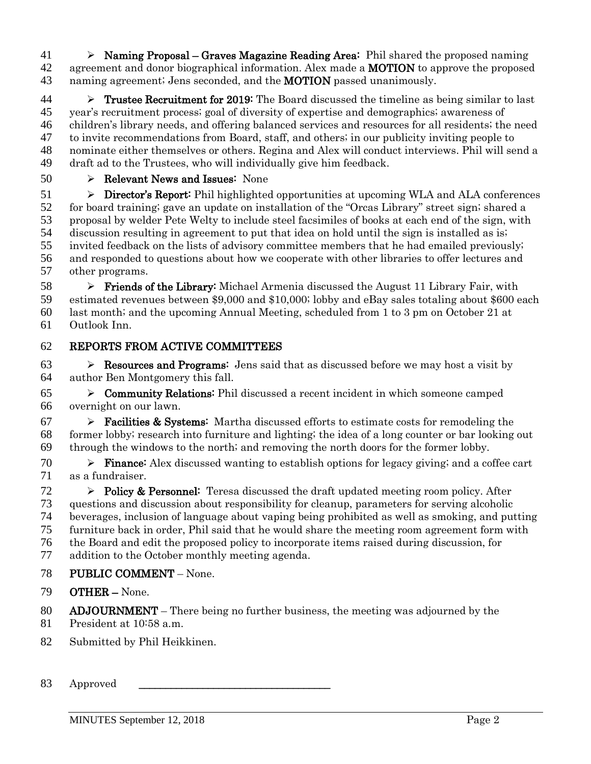41  $\triangleright$  Naming Proposal – Graves Magazine Reading Area: Phil shared the proposed naming 42 agreement and donor biographical information. Alex made a **MOTION** to approve the proposed 43 naming agreement; Jens seconded, and the **MOTION** passed unanimously.

**Trustee Recruitment for 2019:** The Board discussed the timeline as being similar to last year's recruitment process; goal of diversity of expertise and demographics; awareness of children's library needs, and offering balanced services and resources for all residents; the need to invite recommendations from Board, staff, and others; in our publicity inviting people to nominate either themselves or others. Regina and Alex will conduct interviews. Phil will send a draft ad to the Trustees, who will individually give him feedback.

50 > Relevant News and Issues: None

 $51 \rightarrow$  Director's Report: Phil highlighted opportunities at upcoming WLA and ALA conferences for board training; gave an update on installation of the "Orcas Library" street sign; shared a proposal by welder Pete Welty to include steel facsimiles of books at each end of the sign, with discussion resulting in agreement to put that idea on hold until the sign is installed as is; invited feedback on the lists of advisory committee members that he had emailed previously; and responded to questions about how we cooperate with other libraries to offer lectures and other programs.

 $\triangleright$  **Friends of the Library:** Michael Armenia discussed the August 11 Library Fair, with estimated revenues between \$9,000 and \$10,000; lobby and eBay sales totaling about \$600 each last month; and the upcoming Annual Meeting, scheduled from 1 to 3 pm on October 21 at Outlook Inn.

## REPORTS FROM ACTIVE COMMITTEES

63 Resources and Programs: Jens said that as discussed before we may host a visit by author Ben Montgomery this fall.

65  $\triangleright$  **Community Relations:** Phil discussed a recent incident in which someone camped overnight on our lawn.

**Facilities & Systems:** Martha discussed efforts to estimate costs for remodeling the former lobby; research into furniture and lighting; the idea of a long counter or bar looking out through the windows to the north; and removing the north doors for the former lobby.

70  $\triangleright$  **Finance:** Alex discussed wanting to establish options for legacy giving; and a coffee cart as a fundraiser.

 $\triangleright$  Policy & Personnel: Teresa discussed the draft updated meeting room policy. After questions and discussion about responsibility for cleanup, parameters for serving alcoholic beverages, inclusion of language about vaping being prohibited as well as smoking, and putting furniture back in order, Phil said that he would share the meeting room agreement form with the Board and edit the proposed policy to incorporate items raised during discussion, for addition to the October monthly meeting agenda.

- PUBLIC COMMENT None.
- OTHER None.
- ADJOURNMENT There being no further business, the meeting was adjourned by the
- President at 10:58 a.m.
- Submitted by Phil Heikkinen.
- 83 Approved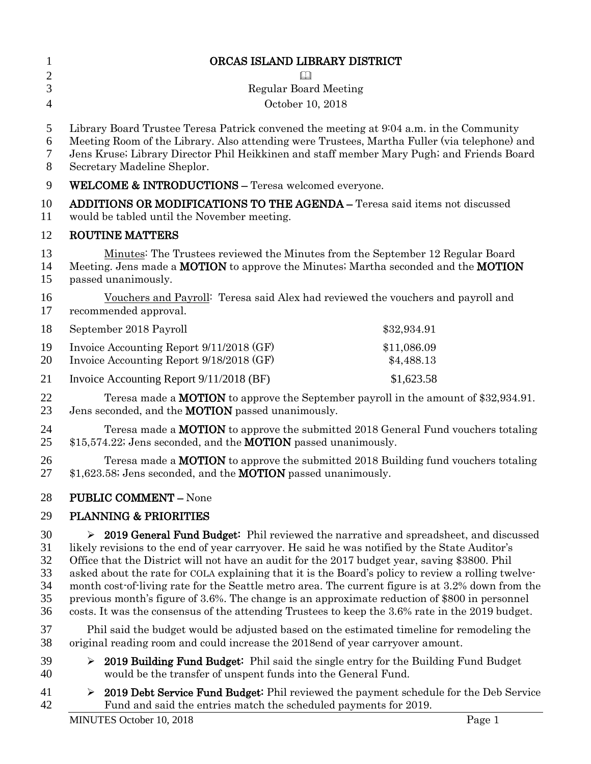| $\mathbf{1}$<br>$\mathbf{2}$     | ORCAS ISLAND LIBRARY DISTRICT                                                                                                                                                                                                                                                                                                                                                                                                                                                                                                                                                                           |                           |
|----------------------------------|---------------------------------------------------------------------------------------------------------------------------------------------------------------------------------------------------------------------------------------------------------------------------------------------------------------------------------------------------------------------------------------------------------------------------------------------------------------------------------------------------------------------------------------------------------------------------------------------------------|---------------------------|
| 3                                | <b>Regular Board Meeting</b>                                                                                                                                                                                                                                                                                                                                                                                                                                                                                                                                                                            |                           |
| $\overline{4}$                   | October 10, 2018                                                                                                                                                                                                                                                                                                                                                                                                                                                                                                                                                                                        |                           |
| 5<br>6<br>7<br>8                 | Library Board Trustee Teresa Patrick convened the meeting at 9:04 a.m. in the Community<br>Meeting Room of the Library. Also attending were Trustees, Martha Fuller (via telephone) and<br>Jens Kruse; Library Director Phil Heikkinen and staff member Mary Pugh; and Friends Board<br>Secretary Madeline Sheplor.                                                                                                                                                                                                                                                                                     |                           |
| 9                                | <b>WELCOME &amp; INTRODUCTIONS - Teresa welcomed everyone.</b>                                                                                                                                                                                                                                                                                                                                                                                                                                                                                                                                          |                           |
| 10<br>11                         | <b>ADDITIONS OR MODIFICATIONS TO THE AGENDA - Teresa said items not discussed</b><br>would be tabled until the November meeting.                                                                                                                                                                                                                                                                                                                                                                                                                                                                        |                           |
| 12                               | ROUTINE MATTERS                                                                                                                                                                                                                                                                                                                                                                                                                                                                                                                                                                                         |                           |
| 13<br>14<br>15                   | Minutes: The Trustees reviewed the Minutes from the September 12 Regular Board<br>Meeting. Jens made a MOTION to approve the Minutes; Martha seconded and the MOTION<br>passed unanimously.                                                                                                                                                                                                                                                                                                                                                                                                             |                           |
| 16<br>17                         | Vouchers and Payroll: Teresa said Alex had reviewed the vouchers and payroll and<br>recommended approval.                                                                                                                                                                                                                                                                                                                                                                                                                                                                                               |                           |
| 18                               | September 2018 Payroll                                                                                                                                                                                                                                                                                                                                                                                                                                                                                                                                                                                  | \$32,934.91               |
| 19<br>20                         | Invoice Accounting Report 9/11/2018 (GF)<br>Invoice Accounting Report 9/18/2018 (GF)                                                                                                                                                                                                                                                                                                                                                                                                                                                                                                                    | \$11,086.09<br>\$4,488.13 |
| 21                               | Invoice Accounting Report 9/11/2018 (BF)                                                                                                                                                                                                                                                                                                                                                                                                                                                                                                                                                                | \$1,623.58                |
| 22<br>23                         | Teresa made a <b>MOTION</b> to approve the September payroll in the amount of \$32,934.91.<br>Jens seconded, and the <b>MOTION</b> passed unanimously.                                                                                                                                                                                                                                                                                                                                                                                                                                                  |                           |
| 24<br>25                         | Teresa made a <b>MOTION</b> to approve the submitted 2018 General Fund vouchers totaling<br>\$15,574.22; Jens seconded, and the <b>MOTION</b> passed unanimously.                                                                                                                                                                                                                                                                                                                                                                                                                                       |                           |
| 26<br>27                         | Teresa made a <b>MOTION</b> to approve the submitted 2018 Building fund vouchers totaling<br>\$1,623.58; Jens seconded, and the <b>MOTION</b> passed unanimously.                                                                                                                                                                                                                                                                                                                                                                                                                                       |                           |
| 28                               | <b>PUBLIC COMMENT - None</b>                                                                                                                                                                                                                                                                                                                                                                                                                                                                                                                                                                            |                           |
| 29                               | <b>PLANNING &amp; PRIORITIES</b>                                                                                                                                                                                                                                                                                                                                                                                                                                                                                                                                                                        |                           |
| 30<br>31<br>32<br>33<br>34<br>35 | 2019 General Fund Budget: Phil reviewed the narrative and spreadsheet, and discussed<br>➤<br>likely revisions to the end of year carryover. He said he was notified by the State Auditor's<br>Office that the District will not have an audit for the 2017 budget year, saving \$3800. Phil<br>asked about the rate for COLA explaining that it is the Board's policy to review a rolling twelve-<br>month cost-of-living rate for the Seattle metro area. The current figure is at 3.2% down from the<br>previous month's figure of 3.6%. The change is an approximate reduction of \$800 in personnel |                           |
| 36                               | costs. It was the consensus of the attending Trustees to keep the 3.6% rate in the 2019 budget.                                                                                                                                                                                                                                                                                                                                                                                                                                                                                                         |                           |

37 Phil said the budget would be adjusted based on the estimated timeline for remodeling the original reading room and could increase the 2018 end of year carryover amount. original reading room and could increase the 2018end of year carryover amount.

- 39  $\rightarrow$  2019 Building Fund Budget: Phil said the single entry for the Building Fund Budget 40 would be the transfer of unspent funds into the General Fund.
- 41 > 2019 Debt Service Fund Budget: Phil reviewed the payment schedule for the Deb Service 42 Fund and said the entries match the scheduled payments for 2019.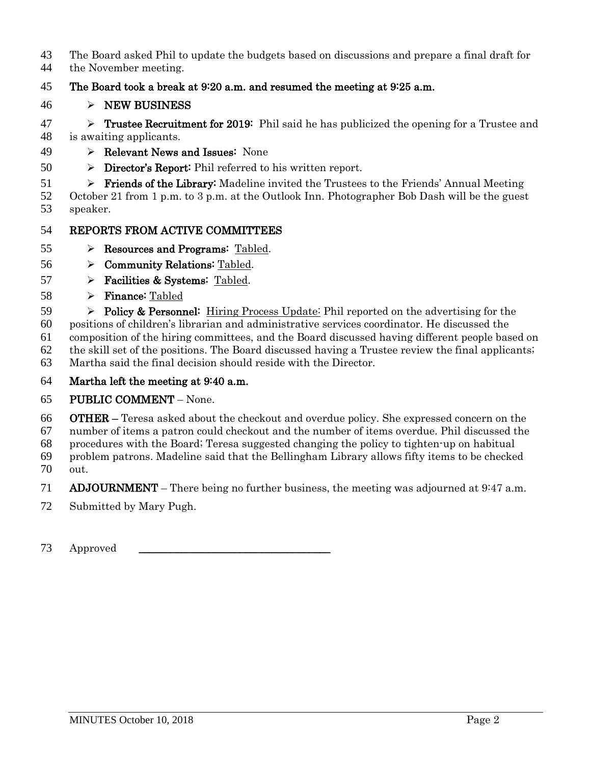- The Board asked Phil to update the budgets based on discussions and prepare a final draft for
- the November meeting.
- The Board took a break at 9:20 a.m. and resumed the meeting at 9:25 a.m.
- $46 \rightarrow \text{NEW BUSINESS}$

**Trustee Recruitment for 2019:** Phil said he has publicized the opening for a Trustee and is awaiting applicants.

- 49 > Relevant News and Issues: None
- $50 \rightarrow$  **Director's Report:** Phil referred to his written report.

 $51 \rightarrow$  **Friends of the Library:** Madeline invited the Trustees to the Friends' Annual Meeting October 21 from 1 p.m. to 3 p.m. at the Outlook Inn. Photographer Bob Dash will be the guest

speaker.

#### REPORTS FROM ACTIVE COMMITTEES

- 55  $\triangleright$  Resources and Programs: Tabled.
- 56 > Community Relations: Tabled.
- 57  $\triangleright$  Facilities & Systems: Tabled.
- 58  $\triangleright$  Finance: Tabled

59  $\triangleright$  Policy & Personnel: Hiring Process Update: Phil reported on the advertising for the

positions of children's librarian and administrative services coordinator. He discussed the

composition of the hiring committees, and the Board discussed having different people based on

 the skill set of the positions. The Board discussed having a Trustee review the final applicants; Martha said the final decision should reside with the Director.

Martha left the meeting at 9:40 a.m.

### PUBLIC COMMENT – None.

OTHER – Teresa asked about the checkout and overdue policy. She expressed concern on the

number of items a patron could checkout and the number of items overdue. Phil discussed the

procedures with the Board; Teresa suggested changing the policy to tighten-up on habitual

 problem patrons. Madeline said that the Bellingham Library allows fifty items to be checked out.

- **ADJOURNMENT** There being no further business, the meeting was adjourned at 9:47 a.m.
- Submitted by Mary Pugh.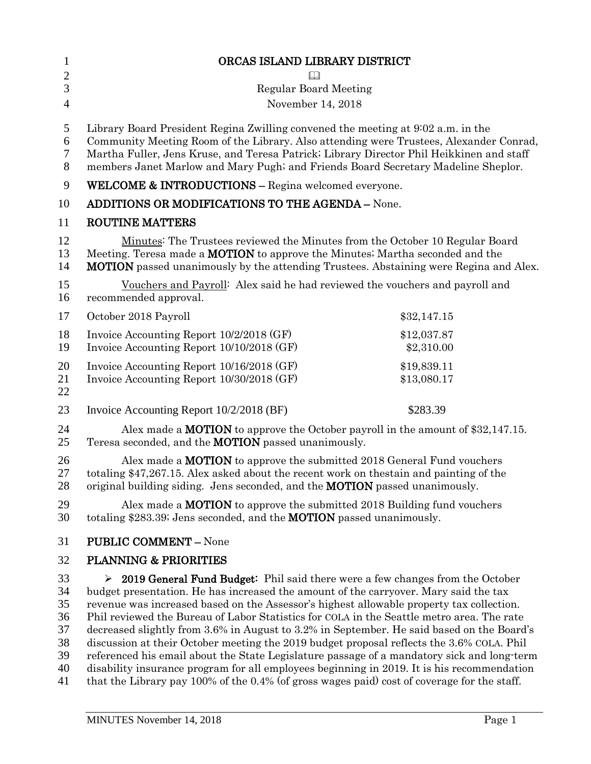| $\mathbf{1}$                                       | ORCAS ISLAND LIBRARY DISTRICT                                                                                                                                                                                                                                                                                                                                                                                                                                                                                                                                                                                                                                                                                                                                                                                                                            |                            |  |
|----------------------------------------------------|----------------------------------------------------------------------------------------------------------------------------------------------------------------------------------------------------------------------------------------------------------------------------------------------------------------------------------------------------------------------------------------------------------------------------------------------------------------------------------------------------------------------------------------------------------------------------------------------------------------------------------------------------------------------------------------------------------------------------------------------------------------------------------------------------------------------------------------------------------|----------------------------|--|
| $\overline{2}$                                     | $\Box$                                                                                                                                                                                                                                                                                                                                                                                                                                                                                                                                                                                                                                                                                                                                                                                                                                                   |                            |  |
| 3                                                  | <b>Regular Board Meeting</b>                                                                                                                                                                                                                                                                                                                                                                                                                                                                                                                                                                                                                                                                                                                                                                                                                             |                            |  |
| $\overline{4}$                                     | November 14, 2018                                                                                                                                                                                                                                                                                                                                                                                                                                                                                                                                                                                                                                                                                                                                                                                                                                        |                            |  |
| 5<br>6<br>7<br>8                                   | Library Board President Regina Zwilling convened the meeting at 9:02 a.m. in the<br>Community Meeting Room of the Library. Also attending were Trustees, Alexander Conrad,<br>Martha Fuller, Jens Kruse, and Teresa Patrick; Library Director Phil Heikkinen and staff<br>members Janet Marlow and Mary Pugh; and Friends Board Secretary Madeline Sheplor.                                                                                                                                                                                                                                                                                                                                                                                                                                                                                              |                            |  |
| 9                                                  | <b>WELCOME &amp; INTRODUCTIONS - Regina welcomed everyone.</b>                                                                                                                                                                                                                                                                                                                                                                                                                                                                                                                                                                                                                                                                                                                                                                                           |                            |  |
| 10                                                 | ADDITIONS OR MODIFICATIONS TO THE AGENDA - None.                                                                                                                                                                                                                                                                                                                                                                                                                                                                                                                                                                                                                                                                                                                                                                                                         |                            |  |
| 11                                                 | <b>ROUTINE MATTERS</b>                                                                                                                                                                                                                                                                                                                                                                                                                                                                                                                                                                                                                                                                                                                                                                                                                                   |                            |  |
| 12<br>13<br>14                                     | Minutes: The Trustees reviewed the Minutes from the October 10 Regular Board<br>Meeting. Teresa made a <b>MOTION</b> to approve the Minutes; Martha seconded and the<br>MOTION passed unanimously by the attending Trustees. Abstaining were Regina and Alex.                                                                                                                                                                                                                                                                                                                                                                                                                                                                                                                                                                                            |                            |  |
| 15<br>16                                           | Vouchers and Payroll: Alex said he had reviewed the vouchers and payroll and<br>recommended approval.                                                                                                                                                                                                                                                                                                                                                                                                                                                                                                                                                                                                                                                                                                                                                    |                            |  |
| 17                                                 | October 2018 Payroll                                                                                                                                                                                                                                                                                                                                                                                                                                                                                                                                                                                                                                                                                                                                                                                                                                     | \$32,147.15                |  |
| 18<br>19                                           | Invoice Accounting Report 10/2/2018 (GF)<br>Invoice Accounting Report 10/10/2018 (GF)                                                                                                                                                                                                                                                                                                                                                                                                                                                                                                                                                                                                                                                                                                                                                                    | \$12,037.87<br>\$2,310.00  |  |
| 20<br>21<br>22                                     | Invoice Accounting Report 10/16/2018 (GF)<br>Invoice Accounting Report 10/30/2018 (GF)                                                                                                                                                                                                                                                                                                                                                                                                                                                                                                                                                                                                                                                                                                                                                                   | \$19,839.11<br>\$13,080.17 |  |
| 23                                                 | Invoice Accounting Report 10/2/2018 (BF)                                                                                                                                                                                                                                                                                                                                                                                                                                                                                                                                                                                                                                                                                                                                                                                                                 | \$283.39                   |  |
| 24<br>25                                           | Alex made a <b>MOTION</b> to approve the October payroll in the amount of \$32,147.15.<br>Teresa seconded, and the <b>MOTION</b> passed unanimously.                                                                                                                                                                                                                                                                                                                                                                                                                                                                                                                                                                                                                                                                                                     |                            |  |
| 26<br>27<br>28                                     | Alex made a <b>MOTION</b> to approve the submitted 2018 General Fund vouchers<br>totaling \$47,267.15. Alex asked about the recent work on the stain and painting of the<br>original building siding. Jens seconded, and the <b>MOTION</b> passed unanimously.                                                                                                                                                                                                                                                                                                                                                                                                                                                                                                                                                                                           |                            |  |
| 29<br>30                                           | Alex made a MOTION to approve the submitted 2018 Building fund vouchers<br>totaling \$283.39; Jens seconded, and the <b>MOTION</b> passed unanimously.                                                                                                                                                                                                                                                                                                                                                                                                                                                                                                                                                                                                                                                                                                   |                            |  |
| 31                                                 | <b>PUBLIC COMMENT - None</b>                                                                                                                                                                                                                                                                                                                                                                                                                                                                                                                                                                                                                                                                                                                                                                                                                             |                            |  |
| 32                                                 | <b>PLANNING &amp; PRIORITIES</b>                                                                                                                                                                                                                                                                                                                                                                                                                                                                                                                                                                                                                                                                                                                                                                                                                         |                            |  |
| 33<br>34<br>35<br>36<br>37<br>38<br>39<br>40<br>41 | 2019 General Fund Budget: Phil said there were a few changes from the October<br>➤<br>budget presentation. He has increased the amount of the carryover. Mary said the tax<br>revenue was increased based on the Assessor's highest allowable property tax collection.<br>Phil reviewed the Bureau of Labor Statistics for COLA in the Seattle metro area. The rate<br>decreased slightly from 3.6% in August to 3.2% in September. He said based on the Board's<br>discussion at their October meeting the 2019 budget proposal reflects the 3.6% COLA. Phil<br>referenced his email about the State Legislature passage of a mandatory sick and long-term<br>disability insurance program for all employees beginning in 2019. It is his recommendation<br>that the Library pay 100% of the 0.4% (of gross wages paid) cost of coverage for the staff. |                            |  |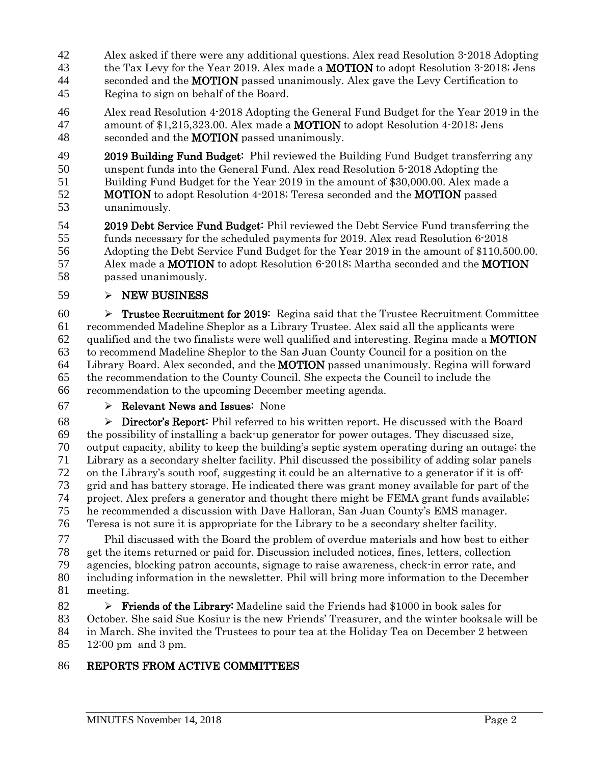- Alex asked if there were any additional questions. Alex read Resolution 3-2018 Adopting 43 the Tax Levy for the Year 2019. Alex made a **MOTION** to adopt Resolution 3-2018; Jens 44 seconded and the **MOTION** passed unanimously. Alex gave the Levy Certification to Regina to sign on behalf of the Board.
- Alex read Resolution 4-2018 Adopting the General Fund Budget for the Year 2019 in the 47 amount of \$1,215,323.00. Alex made a **MOTION** to adopt Resolution 4-2018; Jens 48 seconded and the **MOTION** passed unanimously.
- 49 2019 Building Fund Budget: Phil reviewed the Building Fund Budget transferring any unspent funds into the General Fund. Alex read Resolution 5-2018 Adopting the Building Fund Budget for the Year 2019 in the amount of \$30,000.00. Alex made a 52 MOTION to adopt Resolution 4-2018; Teresa seconded and the MOTION passed unanimously.
- 2019 Debt Service Fund Budget: Phil reviewed the Debt Service Fund transferring the funds necessary for the scheduled payments for 2019. Alex read Resolution 6-2018 Adopting the Debt Service Fund Budget for the Year 2019 in the amount of \$110,500.00. 57 Alex made a **MOTION** to adopt Resolution 6-2018; Martha seconded and the **MOTION** passed unanimously.
- $59 \rightarrow NEW BUSINES$

**Trustee Recruitment for 2019:** Regina said that the Trustee Recruitment Committee recommended Madeline Sheplor as a Library Trustee. Alex said all the applicants were qualified and the two finalists were well qualified and interesting. Regina made a MOTION to recommend Madeline Sheplor to the San Juan County Council for a position on the 64 Library Board. Alex seconded, and the **MOTION** passed unanimously. Regina will forward the recommendation to the County Council. She expects the Council to include the recommendation to the upcoming December meeting agenda.

- 
- $67 \rightarrow$  Relevant News and Issues: None

 $68 \rightarrow$  Director's Report: Phil referred to his written report. He discussed with the Board the possibility of installing a back-up generator for power outages. They discussed size, output capacity, ability to keep the building's septic system operating during an outage; the Library as a secondary shelter facility. Phil discussed the possibility of adding solar panels on the Library's south roof, suggesting it could be an alternative to a generator if it is off- grid and has battery storage. He indicated there was grant money available for part of the project. Alex prefers a generator and thought there might be FEMA grant funds available; he recommended a discussion with Dave Halloran, San Juan County's EMS manager. Teresa is not sure it is appropriate for the Library to be a secondary shelter facility.

77 Phil discussed with the Board the problem of overdue materials and how best to either<br>78 get the items returned or paid for. Discussion included notices, fines, letters, collection 78 get the items returned or paid for. Discussion included notices, fines, letters, collection<br>79 agencies, blocking patron accounts, signage to raise awareness, check-in error rate, and agencies, blocking patron accounts, signage to raise awareness, check-in error rate, and including information in the newsletter. Phil will bring more information to the December meeting.

 $\triangleright$  Friends of the Library: Madeline said the Friends had \$1000 in book sales for October. She said Sue Kosiur is the new Friends' Treasurer, and the winter booksale will be in March. She invited the Trustees to pour tea at the Holiday Tea on December 2 between 12:00 pm and 3 pm.

## REPORTS FROM ACTIVE COMMITTEES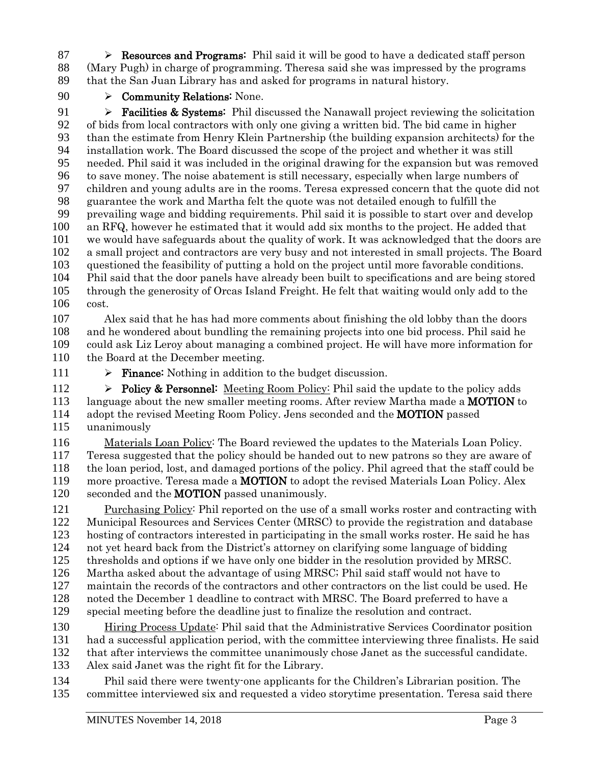87  $\triangleright$  **Resources and Programs:** Phil said it will be good to have a dedicated staff person (Mary Pugh) in charge of programming. Theresa said she was impressed by the programs that the San Juan Library has and asked for programs in natural history.

#### 90 > Community Relations: None.

 $\triangleright$  **Facilities & Systems:** Phil discussed the Nanawall project reviewing the solicitation of bids from local contractors with only one giving a written bid. The bid came in higher than the estimate from Henry Klein Partnership (the building expansion architects) for the installation work. The Board discussed the scope of the project and whether it was still needed. Phil said it was included in the original drawing for the expansion but was removed to save money. The noise abatement is still necessary, especially when large numbers of children and young adults are in the rooms. Teresa expressed concern that the quote did not guarantee the work and Martha felt the quote was not detailed enough to fulfill the prevailing wage and bidding requirements. Phil said it is possible to start over and develop an RFQ, however he estimated that it would add six months to the project. He added that we would have safeguards about the quality of work. It was acknowledged that the doors are a small project and contractors are very busy and not interested in small projects. The Board questioned the feasibility of putting a hold on the project until more favorable conditions. Phil said that the door panels have already been built to specifications and are being stored through the generosity of Orcas Island Freight. He felt that waiting would only add to the cost.

 Alex said that he has had more comments about finishing the old lobby than the doors and he wondered about bundling the remaining projects into one bid process. Phil said he could ask Liz Leroy about managing a combined project. He will have more information for the Board at the December meeting.

111  $\triangleright$  **Finance:** Nothing in addition to the budget discussion.

112  $\rightarrow$  Policy & Personnel: Meeting Room Policy: Phil said the update to the policy adds 113 language about the new smaller meeting rooms. After review Martha made a **MOTION** to 114 adopt the revised Meeting Room Policy. Jens seconded and the **MOTION** passed unanimously

 Materials Loan Policy: The Board reviewed the updates to the Materials Loan Policy. Teresa suggested that the policy should be handed out to new patrons so they are aware of the loan period, lost, and damaged portions of the policy. Phil agreed that the staff could be 119 more proactive. Teresa made a **MOTION** to adopt the revised Materials Loan Policy. Alex 120 seconded and the **MOTION** passed unanimously.

121 Purchasing Policy: Phil reported on the use of a small works roster and contracting with Municipal Resources and Services Center (MRSC) to provide the registration and database hosting of contractors interested in participating in the small works roster. He said he has not yet heard back from the District's attorney on clarifying some language of bidding thresholds and options if we have only one bidder in the resolution provided by MRSC. Martha asked about the advantage of using MRSC; Phil said staff would not have to maintain the records of the contractors and other contractors on the list could be used. He noted the December 1 deadline to contract with MRSC. The Board preferred to have a special meeting before the deadline just to finalize the resolution and contract.

**III** Hiring Process Update<sup>:</sup> Phil said that the Administrative Services Coordinator position had a successful application period, with the committee interviewing three finalists. He said that after interviews the committee unanimously chose Janet as the successful candidate. Alex said Janet was the right fit for the Library.

 Phil said there were twenty-one applicants for the Children's Librarian position. The committee interviewed six and requested a video storytime presentation. Teresa said there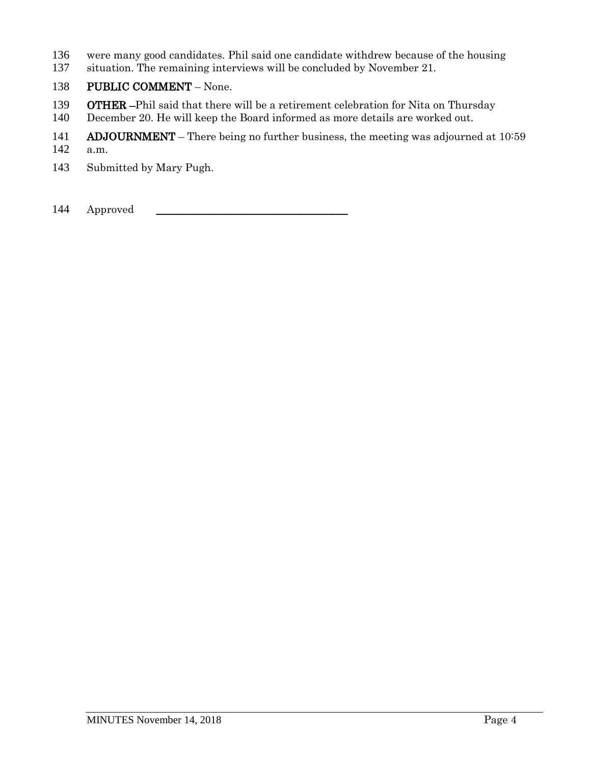- 136 were many good candidates. Phil said one candidate withdrew because of the housing
- 137 situation. The remaining interviews will be concluded by November 21.

#### 138 PUBLIC COMMENT – None.

- 139 **OTHER** –Phil said that there will be a retirement celebration for Nita on Thursday<br>140 December 20. He will keep the Board informed as more details are worked out.
- December 20. He will keep the Board informed as more details are worked out.
- 141 **ADJOURNMENT** There being no further business, the meeting was adjourned at  $10:59$ <br>142 a.m. a.m.
- 143 Submitted by Mary Pugh.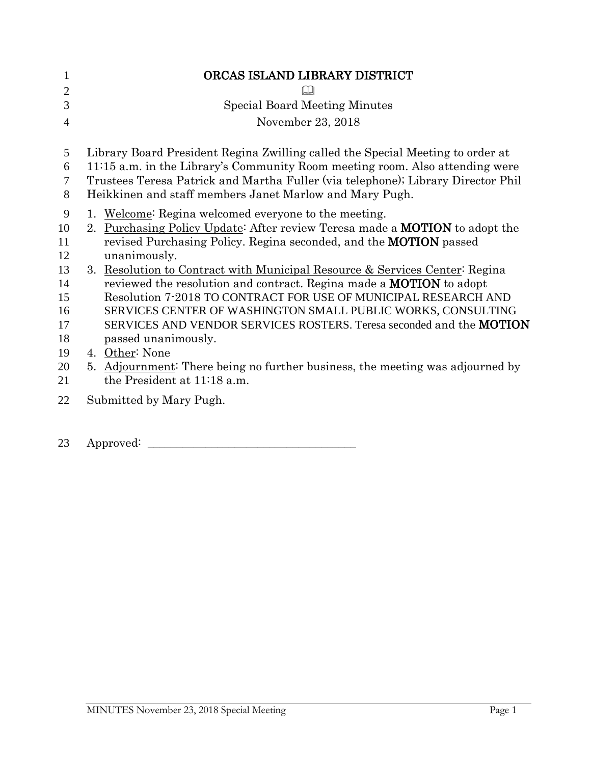| 1              | ORCAS ISLAND LIBRARY DISTRICT                                                      |  |  |
|----------------|------------------------------------------------------------------------------------|--|--|
| $\overline{2}$ |                                                                                    |  |  |
| 3              | <b>Special Board Meeting Minutes</b>                                               |  |  |
| $\overline{4}$ | November 23, 2018                                                                  |  |  |
| 5              | Library Board President Regina Zwilling called the Special Meeting to order at     |  |  |
| 6              | 11:15 a.m. in the Library's Community Room meeting room. Also attending were       |  |  |
| $\tau$         | Trustees Teresa Patrick and Martha Fuller (via telephone); Library Director Phil   |  |  |
| 8              | Heikkinen and staff members Janet Marlow and Mary Pugh.                            |  |  |
| 9              | 1. Welcome: Regina welcomed everyone to the meeting.                               |  |  |
| 10             | 2. Purchasing Policy Update: After review Teresa made a <b>MOTION</b> to adopt the |  |  |
| 11             | revised Purchasing Policy. Regina seconded, and the <b>MOTION</b> passed           |  |  |
| 12             | unanimously.                                                                       |  |  |
| 13             | 3. Resolution to Contract with Municipal Resource & Services Center: Regina        |  |  |
| 14             | reviewed the resolution and contract. Regina made a <b>MOTION</b> to adopt         |  |  |
| 15             | Resolution 7-2018 TO CONTRACT FOR USE OF MUNICIPAL RESEARCH AND                    |  |  |
| 16             | SERVICES CENTER OF WASHINGTON SMALL PUBLIC WORKS, CONSULTING                       |  |  |
| 17             | SERVICES AND VENDOR SERVICES ROSTERS. Teresa seconded and the MOTION               |  |  |
| 18             | passed unanimously.                                                                |  |  |
| 19             | 4. Other: None                                                                     |  |  |
| 20             | 5. Adjournment: There being no further business, the meeting was adjourned by      |  |  |
| 21             | the President at 11:18 a.m.                                                        |  |  |
| 22             | Submitted by Mary Pugh.                                                            |  |  |
|                |                                                                                    |  |  |

23 Approved: \_\_\_\_\_\_\_\_\_\_\_\_\_\_\_\_\_\_\_\_\_\_\_\_\_\_\_\_\_\_\_\_\_\_\_\_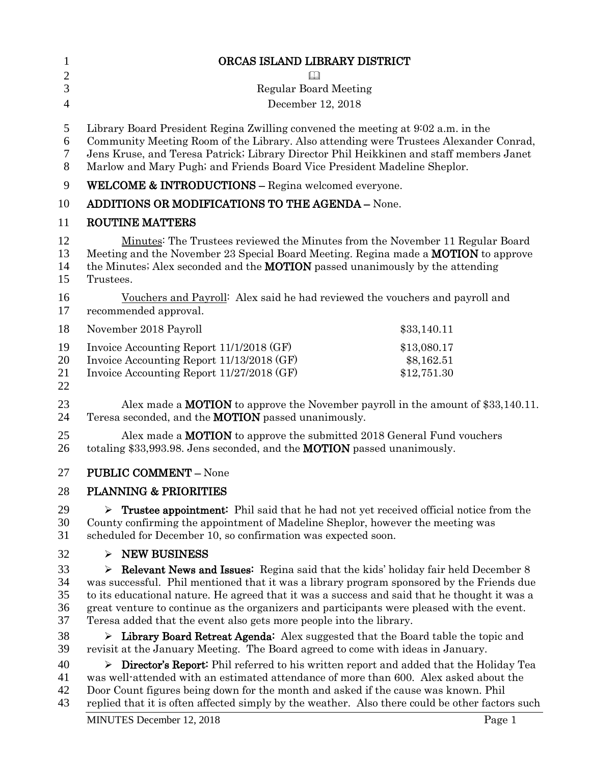| $\mathbf{1}$               | ORCAS ISLAND LIBRARY DISTRICT                                                                                                                                                                                                                                                                                                                                                                                                                                |                                          |  |
|----------------------------|--------------------------------------------------------------------------------------------------------------------------------------------------------------------------------------------------------------------------------------------------------------------------------------------------------------------------------------------------------------------------------------------------------------------------------------------------------------|------------------------------------------|--|
| $\overline{2}$             | $\Box$                                                                                                                                                                                                                                                                                                                                                                                                                                                       |                                          |  |
| 3                          | <b>Regular Board Meeting</b>                                                                                                                                                                                                                                                                                                                                                                                                                                 |                                          |  |
| $\overline{4}$             | December 12, 2018                                                                                                                                                                                                                                                                                                                                                                                                                                            |                                          |  |
| 5<br>6<br>7<br>8           | Library Board President Regina Zwilling convened the meeting at 9:02 a.m. in the<br>Community Meeting Room of the Library. Also attending were Trustees Alexander Conrad,<br>Jens Kruse, and Teresa Patrick; Library Director Phil Heikkinen and staff members Janet<br>Marlow and Mary Pugh; and Friends Board Vice President Madeline Sheplor.                                                                                                             |                                          |  |
| 9                          | <b>WELCOME &amp; INTRODUCTIONS - Regina welcomed everyone.</b>                                                                                                                                                                                                                                                                                                                                                                                               |                                          |  |
| 10                         | ADDITIONS OR MODIFICATIONS TO THE AGENDA - None.                                                                                                                                                                                                                                                                                                                                                                                                             |                                          |  |
| 11                         | <b>ROUTINE MATTERS</b>                                                                                                                                                                                                                                                                                                                                                                                                                                       |                                          |  |
| 12<br>13<br>14<br>15       | Minutes: The Trustees reviewed the Minutes from the November 11 Regular Board<br>Meeting and the November 23 Special Board Meeting. Regina made a <b>MOTION</b> to approve<br>the Minutes; Alex seconded and the <b>MOTION</b> passed unanimously by the attending<br>Trustees.                                                                                                                                                                              |                                          |  |
| 16<br>17                   | Vouchers and Payroll: Alex said he had reviewed the vouchers and payroll and<br>recommended approval.                                                                                                                                                                                                                                                                                                                                                        |                                          |  |
| 18                         | November 2018 Payroll                                                                                                                                                                                                                                                                                                                                                                                                                                        | \$33,140.11                              |  |
| 19<br>20<br>21<br>22       | Invoice Accounting Report 11/1/2018 (GF)<br>Invoice Accounting Report 11/13/2018 (GF)<br>Invoice Accounting Report 11/27/2018 (GF)                                                                                                                                                                                                                                                                                                                           | \$13,080.17<br>\$8,162.51<br>\$12,751.30 |  |
| 23<br>24                   | Alex made a <b>MOTION</b> to approve the November payroll in the amount of \$33,140.11.<br>Teresa seconded, and the <b>MOTION</b> passed unanimously.                                                                                                                                                                                                                                                                                                        |                                          |  |
| 25<br>26                   | Alex made a <b>MOTION</b> to approve the submitted 2018 General Fund vouchers<br>totaling \$33,993.98. Jens seconded, and the <b>MOTION</b> passed unanimously.                                                                                                                                                                                                                                                                                              |                                          |  |
| 27                         | <b>PUBLIC COMMENT - None</b>                                                                                                                                                                                                                                                                                                                                                                                                                                 |                                          |  |
| 28                         | PLANNING & PRIORITIES                                                                                                                                                                                                                                                                                                                                                                                                                                        |                                          |  |
| 29<br>30<br>31             | <b>Trustee appointment:</b> Phil said that he had not yet received official notice from the<br>County confirming the appointment of Madeline Sheplor, however the meeting was<br>scheduled for December 10, so confirmation was expected soon.                                                                                                                                                                                                               |                                          |  |
| 32                         | <b>NEW BUSINESS</b><br>➤                                                                                                                                                                                                                                                                                                                                                                                                                                     |                                          |  |
| 33<br>34<br>35<br>36<br>37 | Example 1 Relevant News and Issues: Regina said that the kids' holiday fair held December 8<br>was successful. Phil mentioned that it was a library program sponsored by the Friends due<br>to its educational nature. He agreed that it was a success and said that he thought it was a<br>great venture to continue as the organizers and participants were pleased with the event.<br>Teresa added that the event also gets more people into the library. |                                          |  |
| 38<br>39                   | $\triangleright$ Library Board Retreat Agenda: Alex suggested that the Board table the topic and<br>revisit at the January Meeting. The Board agreed to come with ideas in January.                                                                                                                                                                                                                                                                          |                                          |  |
| 40<br>41<br>42<br>43       | <b>Director's Report:</b> Phil referred to his written report and added that the Holiday Tea<br>➤<br>was well-attended with an estimated attendance of more than 600. Alex asked about the<br>Door Count figures being down for the month and asked if the cause was known. Phil<br>replied that it is often affected simply by the weather. Also there could be other factors such                                                                          |                                          |  |
|                            | MINUTES December 12, 2018                                                                                                                                                                                                                                                                                                                                                                                                                                    | Page 1                                   |  |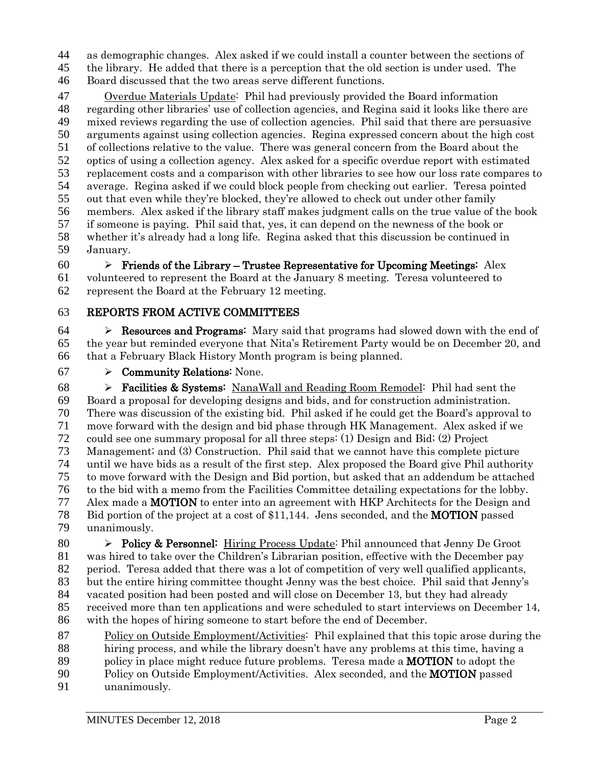as demographic changes. Alex asked if we could install a counter between the sections of

the library. He added that there is a perception that the old section is under used. The

Board discussed that the two areas serve different functions.

47 Overdue Materials Update: Phil had previously provided the Board information regarding other libraries' use of collection agencies, and Regina said it looks like there are mixed reviews regarding the use of collection agencies. Phil said that there are persuasive 50 arguments against using collection agencies. Regina expressed concern about the high cost<br>51 of collections relative to the value. There was general concern from the Board about the of collections relative to the value. There was general concern from the Board about the optics of using a collection agency. Alex asked for a specific overdue report with estimated replacement costs and a comparison with other libraries to see how our loss rate compares to average. Regina asked if we could block people from checking out earlier. Teresa pointed out that even while they're blocked, they're allowed to check out under other family members. Alex asked if the library staff makes judgment calls on the true value of the book if someone is paying. Phil said that, yes, it can depend on the newness of the book or whether it's already had a long life. Regina asked that this discussion be continued in January.

60  $\triangleright$  Friends of the Library – Trustee Representative for Upcoming Meetings: Alex volunteered to represent the Board at the January 8 meeting. Teresa volunteered to represent the Board at the February 12 meeting.

#### REPORTS FROM ACTIVE COMMITTEES

64 Resources and Programs: Mary said that programs had slowed down with the end of the year but reminded everyone that Nita's Retirement Party would be on December 20, and that a February Black History Month program is being planned.

 $67 \rightarrow$  Community Relations: None.

68 > Facilities & Systems: NanaWall and Reading Room Remodel: Phil had sent the Board a proposal for developing designs and bids, and for construction administration. There was discussion of the existing bid. Phil asked if he could get the Board's approval to move forward with the design and bid phase through HK Management. Alex asked if we could see one summary proposal for all three steps: (1) Design and Bid; (2) Project Management; and (3) Construction. Phil said that we cannot have this complete picture until we have bids as a result of the first step. Alex proposed the Board give Phil authority to move forward with the Design and Bid portion, but asked that an addendum be attached to the bid with a memo from the Facilities Committee detailing expectations for the lobby. 77 Alex made a **MOTION** to enter into an agreement with HKP Architects for the Design and 78 Bid portion of the project at a cost of \$11,144. Jens seconded, and the **MOTION** passed unanimously.

80 > Policy & Personnel:  $\underline{Hiring Process Update}$ : Phil announced that Jenny De Groot was hired to take over the Children's Librarian position, effective with the December pay period. Teresa added that there was a lot of competition of very well qualified applicants, but the entire hiring committee thought Jenny was the best choice. Phil said that Jenny's vacated position had been posted and will close on December 13, but they had already received more than ten applications and were scheduled to start interviews on December 14, with the hopes of hiring someone to start before the end of December.

87 Policy on Outside Employment/Activities: Phil explained that this topic arose during the hiring process, and while the library doesn't have any problems at this time, having a 89 policy in place might reduce future problems. Teresa made a **MOTION** to adopt the 90 Policy on Outside Employment/Activities. Alex seconded, and the **MOTION** passed

unanimously.